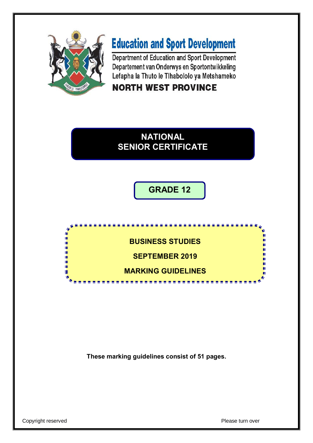

ń φ ή. 庫 ú. ú. ń Ŵ

# **Education and Sport Development**

Department of Education and Sport Development Departement van Onderwys en Sportontwikkeling Lefapha la Thuto le Tihabololo ya Metshameko

**NORTH WEST PROVINCE** 

# **NATIONAL SENIOR CERTIFICATE**

**GRADE 12**

**BUSINESS STUDIES**

**SEPTEMBER 2019**

**MARKING GUIDELINES**

-----------

**These marking guidelines consist of 51 pages.**

Copyright reserved **Please turn over Please turn over**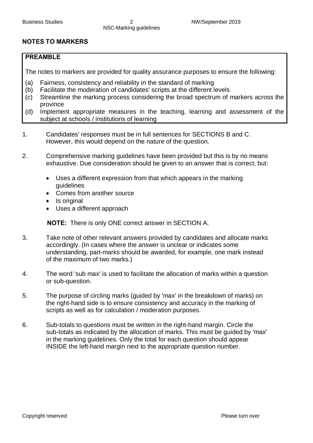### **NOTES TO MARKERS**

#### **PREAMBLE**

The notes to markers are provided for quality assurance purposes to ensure the following:

- (a) Fairness, consistency and reliability in the standard of marking
- (b) Facilitate the moderation of candidates' scripts at the different levels
- (c) Streamline the marking process considering the broad spectrum of markers across the province
- (d) Implement appropriate measures in the teaching, learning and assessment of the subject at schools / institutions of learning
- 1. Candidates' responses must be in full sentences for SECTIONS B and C. However, this would depend on the nature of the question.
- 2. Comprehensive marking guidelines have been provided but this is by no means exhaustive. Due consideration should be given to an answer that is correct, but:
	- · Uses a different expression from that which appears in the marking guidelines
	- · Comes from another source
	- · Is original
	- · Uses a different approach

**NOTE:** There is only ONE correct answer in SECTION A.

- 3. Take note of other relevant answers provided by candidates and allocate marks accordingly. (In cases where the answer is unclear or indicates some understanding, part-marks should be awarded, for example, one mark instead of the maximum of two marks.)
- 4. The word 'sub max' is used to facilitate the allocation of marks within a question or sub-question.
- 5. The purpose of circling marks (guided by 'max' in the breakdown of marks) on the right-hand side is to ensure consistency and accuracy in the marking of scripts as well as for calculation / moderation purposes.
- 6. Sub-totals to questions must be written in the right-hand margin. Circle the sub-totals as indicated by the allocation of marks. This must be guided by 'max' in the marking guidelines. Only the total for each question should appear INSIDE the left-hand margin next to the appropriate question number.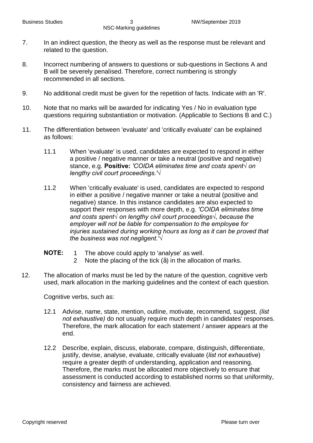- 7. In an indirect question, the theory as well as the response must be relevant and related to the question.
- 8. Incorrect numbering of answers to questions or sub-questions in Sections A and B will be severely penalised. Therefore, correct numbering is strongly recommended in all sections.
- 9. No additional credit must be given for the repetition of facts. Indicate with an 'R'.
- 10. Note that no marks will be awarded for indicating Yes / No in evaluation type questions requiring substantiation or motivation. (Applicable to Sections B and C.)
- 11. The differentiation between 'evaluate' and 'critically evaluate' can be explained as follows:
	- 11.1 When 'evaluate' is used, candidates are expected to respond in either a positive / negative manner or take a neutral (positive and negative) stance, e.g. **Positive:** *'COIDA eliminates time and costs spent√ on lengthy civil court proceedings.'√*
	- 11.2 When 'critically evaluate' is used, candidates are expected to respond in either a positive / negative manner or take a neutral (positive and negative) stance. In this instance candidates are also expected to support their responses with more depth, e.g. *'COIDA eliminates time and costs spent√ on lengthy civil court proceedings√, because the employer will not be liable for compensation to the employee for injuries sustained during working hours as long as it can be proved that the business was not negligent.'√*
	- **NOTE:** 1 The above could apply to 'analyse' as well.
		- 2 Note the placing of the tick  $\mathcal{V}_4$  in the allocation of marks.
- 12. The allocation of marks must be led by the nature of the question, cognitive verb used, mark allocation in the marking guidelines and the context of each question.

Cognitive verbs, such as:

- 12.1 Advise, name, state, mention, outline, motivate, recommend, suggest, *(list not exhaustive)* do not usually require much depth in candidates' responses. Therefore, the mark allocation for each statement / answer appears at the end.
- 12.2 Describe, explain, discuss, elaborate, compare, distinguish, differentiate, justify, devise, analyse, evaluate, critically evaluate (*list not exhaustive*) require a greater depth of understanding, application and reasoning. Therefore, the marks must be allocated more objectively to ensure that assessment is conducted according to established norms so that uniformity, consistency and fairness are achieved.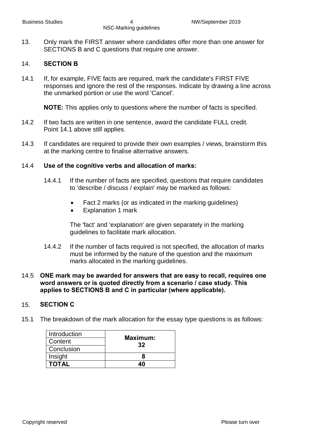13. Only mark the FIRST answer where candidates offer more than one answer for SECTIONS B and C questions that require one answer.

#### 14. **SECTION B**

14.1 If, for example, FIVE facts are required, mark the candidate's FIRST FIVE responses and ignore the rest of the responses. Indicate by drawing a line across the unmarked portion or use the word 'Cancel'.

**NOTE:** This applies only to questions where the number of facts is specified.

- 14.2 If two facts are written in one sentence, award the candidate FULL credit. Point 14.1 above still applies.
- 14.3 If candidates are required to provide their own examples / views, brainstorm this at the marking centre to finalise alternative answers.

#### 14.4 **Use of the cognitive verbs and allocation of marks:**

- 14.4.1 If the number of facts are specified, questions that require candidates to 'describe / discuss / explain' may be marked as follows:
	- Fact 2 marks (or as indicated in the marking guidelines)
	- · Explanation 1 mark

The 'fact' and 'explanation' are given separately in the marking guidelines to facilitate mark allocation.

14.4.2 If the number of facts required is not specified, the allocation of marks must be informed by the nature of the question and the maximum marks allocated in the marking guidelines.

#### 14.5 **ONE mark may be awarded for answers that are easy to recall, requires one word answers or is quoted directly from a scenario / case study. This applies to SECTIONS B and C in particular (where applicable).**

#### 15. **SECTION C**

15.1 The breakdown of the mark allocation for the essay type questions is as follows:

| Introduction | Maximum: |  |
|--------------|----------|--|
| Content      | 32       |  |
| Conclusion   |          |  |
| Insight      |          |  |
| <b>TOTAL</b> | 4በ       |  |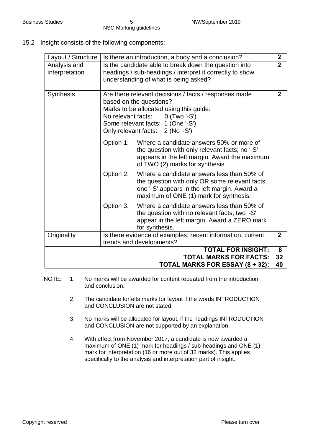15.2 Insight consists of the following components:

| Layout / Structure                                                                            |                                                                                                                                                            | Is there an introduction, a body and a conclusion?                                                                                                                                                                     | $\overline{2}$ |
|-----------------------------------------------------------------------------------------------|------------------------------------------------------------------------------------------------------------------------------------------------------------|------------------------------------------------------------------------------------------------------------------------------------------------------------------------------------------------------------------------|----------------|
| Analysis and<br>interpretation                                                                | Is the candidate able to break down the question into<br>headings / sub-headings / interpret it correctly to show<br>understanding of what is being asked? |                                                                                                                                                                                                                        | $\overline{2}$ |
| <b>Synthesis</b>                                                                              | No relevant facts:                                                                                                                                         | Are there relevant decisions / facts / responses made<br>based on the questions?<br>Marks to be allocated using this guide:<br>$0$ (Two '-S')<br>Some relevant facts: 1 (One '-S')<br>Only relevant facts: 2 (No '-S') | $\mathbf 2$    |
|                                                                                               | Option 1:                                                                                                                                                  | Where a candidate answers 50% or more of<br>the question with only relevant facts; no '-S'<br>appears in the left margin. Award the maximum<br>of TWO (2) marks for synthesis.                                         |                |
|                                                                                               | Option 2:                                                                                                                                                  | Where a candidate answers less than 50% of<br>the question with only OR some relevant facts;<br>one '-S' appears in the left margin. Award a<br>maximum of ONE (1) mark for synthesis.                                 |                |
|                                                                                               | Option 3:                                                                                                                                                  | Where a candidate answers less than 50% of<br>the question with no relevant facts; two '-S'<br>appear in the left margin. Award a ZERO mark<br>for synthesis.                                                          |                |
| Originality                                                                                   |                                                                                                                                                            | Is there evidence of examples, recent information, current<br>trends and developments?                                                                                                                                 | $\mathbf 2$    |
| <b>TOTAL FOR INSIGHT:</b><br><b>TOTAL MARKS FOR FACTS:</b><br>TOTAL MARKS FOR ESSAY (8 + 32): |                                                                                                                                                            |                                                                                                                                                                                                                        | 8<br>32<br>40  |

- NOTE: 1. No marks will be awarded for content repeated from the introduction and conclusion.
	- 2. The candidate forfeits marks for layout if the words INTRODUCTION and CONCLUSION are not stated.
	- 3. No marks will be allocated for layout, if the headings INTRODUCTION and CONCLUSION are not supported by an explanation.
	- 4. With effect from November 2017, a candidate is now awarded a maximum of ONE (1) mark for headings / sub-headings and ONE (1) mark for interpretation (16 or more out of 32 marks). This applies specifically to the analysis and interpretation part of insight.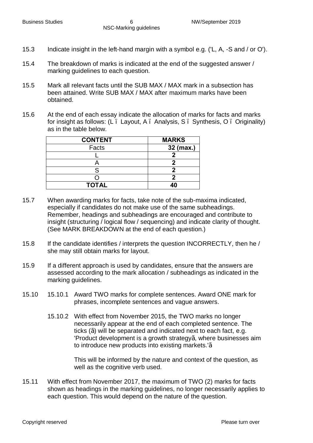- 15.3 Indicate insight in the left-hand margin with a symbol e.g. ('L, A, -S and / or O').
- 15.4 The breakdown of marks is indicated at the end of the suggested answer / marking guidelines to each question.
- 15.5 Mark all relevant facts until the SUB MAX / MAX mark in a subsection has been attained. Write SUB MAX / MAX after maximum marks have been obtained.
- 15.6 At the end of each essay indicate the allocation of marks for facts and marks for insight as follows: (L. Layout, A. Analysis, S. Synthesis, O. Originality) as in the table below.

| <b>CONTENT</b> | <b>MARKS</b> |
|----------------|--------------|
| Facts          | 32 (max.)    |
|                |              |
|                |              |
|                |              |
|                |              |
| <b>TOTAL</b>   |              |

- 15.7 When awarding marks for facts, take note of the sub-maxima indicated, especially if candidates do not make use of the same subheadings. Remember, headings and subheadings are encouraged and contribute to insight (structuring / logical flow / sequencing) and indicate clarity of thought. (See MARK BREAKDOWN at the end of each question.)
- 15.8 If the candidate identifies / interprets the question INCORRECTLY, then he / she may still obtain marks for layout.
- 15.9 If a different approach is used by candidates, ensure that the answers are assessed according to the mark allocation / subheadings as indicated in the marking guidelines.
- 15.10 15.10.1 Award TWO marks for complete sentences. Award ONE mark for phrases, incomplete sentences and vague answers.
	- 15.10.2 With effect from November 2015, the TWO marks no longer necessarily appear at the end of each completed sentence. The ticks (1⁄4 will be separated and indicated next to each fact, e.g. 'Product development is a growth strategy¼ where businesses aim to introduce new products into existing markets.'√

This will be informed by the nature and context of the question, as well as the cognitive verb used.

15.11 With effect from November 2017, the maximum of TWO (2) marks for facts shown as headings in the marking guidelines, no longer necessarily applies to each question. This would depend on the nature of the question.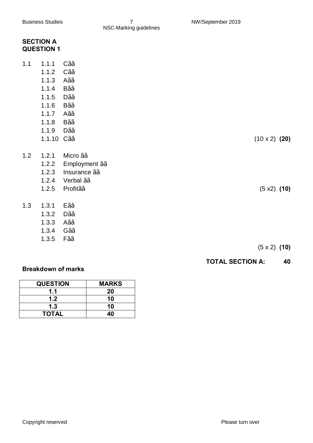|     | <b>SECTION A</b><br><b>QUESTION 1</b>  |                  |                      |
|-----|----------------------------------------|------------------|----------------------|
| 1.1 | 1.1.1                                  | $C\frac{1}{2}$   |                      |
|     | 1.1.2                                  | $C\frac{1}{2}$   |                      |
|     | 1.1.3                                  | $A\frac{1}{2}$   |                      |
|     | 1.1.4                                  | $B\frac{1}{2}$   |                      |
|     | 1.1.5                                  | $D\frac{1}{2}$   |                      |
|     | 1.1.6                                  | $B\frac{1}{2}$   |                      |
|     | 1.1.7                                  | $A\frac{1}{2}$   |                      |
|     | 1.1.8                                  | $B\frac{1}{2}$   |                      |
|     | 1.1.9                                  | $D\frac{1}{2}$   |                      |
|     | 1.1.10 C1/ <sub>2</sub> / <sub>2</sub> |                  | $(10 \times 2)$ (20) |
| 1.2 | 1.2.1                                  | Micro 1/2/2      |                      |
|     | 1.2.2                                  | Employment 1/2/2 |                      |
|     | 1.2.3                                  | Insurance 1/2/2  |                      |
|     | 1.2.4                                  | Verbal 1/2/2     |                      |
|     | 1.2.5                                  | Profit1/2/2      | (5 x2) (10)          |
| 1.3 | 1.3.1                                  | $E\frac{1}{2}$   |                      |
|     | 1.3.2                                  | $D\frac{1}{2}$   |                      |
|     | 1.3.3                                  | $A\frac{1}{2}$   |                      |
|     | 1.3.4                                  | $G\frac{1}{2}$   |                      |
|     | 1.3.5                                  | $F\frac{1}{2}$   |                      |

(5 x 2) **(10)**

### **TOTAL SECTION A: 40**

### **Breakdown of marks**

| <b>QUESTION</b>  | <b>MARKS</b> |
|------------------|--------------|
| 1.1              | 20           |
| 1.2 <sub>1</sub> | 10           |
| 1.3              | 10           |
| <b>TOTAL</b>     | 4በ           |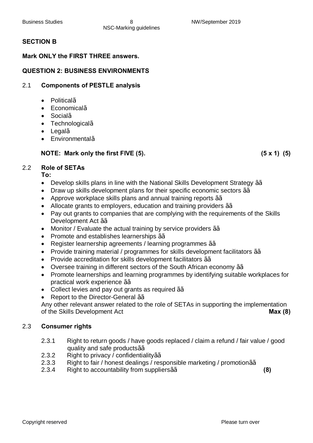### **SECTION B**

### **Mark ONLY the FIRST THREE answers.**

### **QUESTION 2: BUSINESS ENVIRONMENTS**

### 2.1 **Components of PESTLE analysis**

- · Political√
- · Economical√
- · Social√
- · Technological√
- · Legal√
- · Environmental√

#### **NOTE: Mark only the first FIVE (5). (5 x 1) (5)**

2.2 **Role of SETAs**

**To:**

- · Develop skills plans in line with the National Skills Development Strategy √√
- · Draw up skills development plans for their specific economic sectors √√
- · Approve workplace skills plans and annual training reports √√
- Allocate grants to employers, education and training providers 1⁄2/<sub>2</sub>
- · Pay out grants to companies that are complying with the requirements of the Skills Development Act 1⁄<sup>2</sup>⁄<sub>2</sub>
- Monitor / Evaluate the actual training by service providers 1⁄2/<sub>2</sub>
- · Promote and establishes learnerships √√
- · Register learnership agreements / learning programmes √√
- · Provide training material / programmes for skills development facilitators √√
- · Provide accreditation for skills development facilitators √√
- · Oversee training in different sectors of the South African economy √√
- · Promote learnerships and learning programmes by identifying suitable workplaces for practical work experience √√
- · Collect levies and pay out grants as required √√
- Report to the Director-General 1⁄2⁄2

Any other relevant answer related to the role of SETAs in supporting the implementation of the Skills Development Act **Max (8)**

#### 2.3 **Consumer rights**

- 2.3.1 Right to return goods / have goods replaced / claim a refund / fair value / good quality and safe products1⁄<sup>2</sup>⁄<sub>2</sub>
- 2.3.2 Right to privacy / confidentiality 1/2/2
- 2.3.3 Right to fair / honest dealings / responsible marketing / promotion1⁄2 / 2.
- 2.3.4 Right to accountability from suppliers√√ **(8)**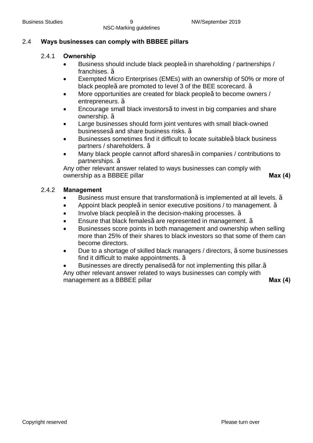### 2.4 **Ways businesses can comply with BBBEE pillars**

#### 2.4.1 **Ownership**

- · Business should include black people√ in shareholding / partnerships / franchises. √
- Exempted Micro Enterprises (EMEs) with an ownership of 50% or more of black people½ are promoted to level 3 of the BEE scorecard.  $\frac{1}{2}$
- More opportunities are created for black people½ to become owners / entrepreneurs. √
- Encourage small black investors<sup>1</sup>⁄<sub>2</sub>to invest in big companies and share ownership. √
- Large businesses should form joint ventures with small black-owned businesses½ and share business risks. ½
- Businesses sometimes find it difficult to locate suitable½ black business partners / shareholders. √
- · Many black people cannot afford shares√ in companies / contributions to partnerships. √

Any other relevant answer related to ways businesses can comply with ownership as a BBBEE pillar **Max** (4)

#### 2.4.2 **Management**

- Business must ensure that transformation $\frac{1}{2}$  is implemented at all levels.  $\frac{1}{2}$
- Appoint black people¼in senior executive positions / to management. 1⁄2
- Involve black people $\frac{1}{2}$ in the decision-making processes.  $\frac{1}{2}$
- Ensure that black females $\frac{1}{2}$  are represented in management.  $\frac{1}{2}$
- · Businesses score points in both management and ownership when selling more than 25% of their shares to black investors so that some of them can become directors.
- Due to a shortage of skilled black managers / directors, 1⁄2 some businesses find it difficult to make appointments. √
- Businesses are directly penalised¼ for not implementing this pillar.1⁄2

Any other relevant answer related to ways businesses can comply with management as a BBBEE pillar **Max (4)** Max (4)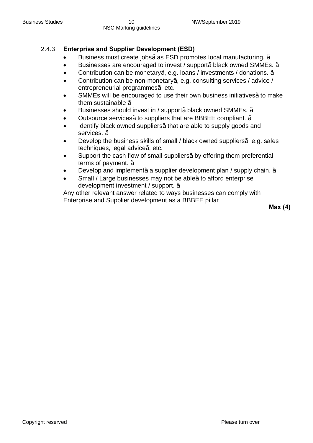### 2.4.3 **Enterprise and Supplier Development (ESD)**

- Business must create jobs¼ as ESD promotes local manufacturing. 1/2
- Businesses are encouraged to invest / support½ black owned SMMEs. 1⁄2
- · Contribution can be monetary√, e.g. loans / investments / donations. √
- · Contribution can be non-monetary√, e.g. consulting services / advice / entrepreneurial programmes¼ etc.
- SMMEs will be encouraged to use their own business initiatives¼ to make them sustainable √
- Businesses should invest in / support½ black owned SMMEs. 1/2
- Outsource services1⁄<sub>2</sub> to suppliers that are BBBEE compliant. <sup>1</sup>/<sub>2</sub>
- Identify black owned suppliers¼ that are able to supply goods and services. √
- Develop the business skills of small / black owned suppliers $\frac{1}{2}$  e.g. sales techniques, legal advice $\frac{1}{2}$  etc.
- Support the cash flow of small suppliers1⁄2by offering them preferential terms of payment.  $\frac{1}{2}$
- Develop and implement½ a supplier development plan / supply chain. ½
- Small / Large businesses may not be able¼to afford enterprise development investment / support. √

Any other relevant answer related to ways businesses can comply with Enterprise and Supplier development as a BBBEE pillar

**Max (4)**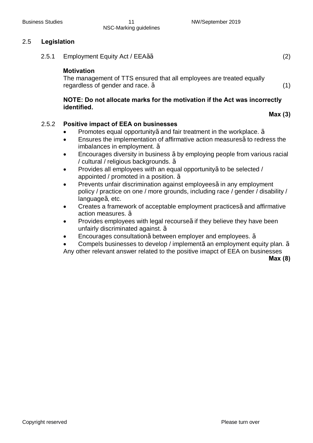#### 2.5 **Legislation**

2.5.1 Employment Equity Act / EEA1⁄2⁄2 (2)

#### **Motivation**

The management of TTS ensured that all employees are treated equally regardless of gender and race.  $\frac{1}{2}$  (1)

#### **NOTE: Do not allocate marks for the motivation if the Act was incorrectly identified.**

### 2.5.2 **Positive impact of EEA on businesses**

- Promotes equal opportunity½ and fair treatment in the workplace.  $\frac{1}{2}$
- Ensures the implementation of affirmative action measures1⁄<sub>2</sub>to redress the imbalances in employment. √
- Encourages diversity in business ½ by employing people from various racial / cultural / religious backgrounds. √
- Provides all employees with an equal opportunity1/<sub>2</sub> to be selected / appointed / promoted in a position. √
- Prevents unfair discrimination against employees¼ in any employment policy / practice on one / more grounds, including race / gender / disability / language½ etc.
- Creates a framework of acceptable employment practices¼ and affirmative action measures. √
- Provides employees with legal recourse¼ they believe they have been unfairly discriminated against. 1/2
- Encourages consultation½ between employer and employees. ½
- Compels businesses to develop / implement½ an employment equity plan. ½

Any other relevant answer related to the positive imapct of EEA on businesses

**Max (8)**

**Max (3)**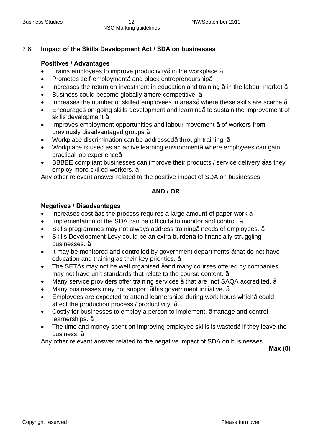#### 2.6 **Impact of the Skills Development Act / SDA on businesses**

#### **Positives / Advantages**

- Trains employees to improve productivity  $\frac{1}{2}$  in the workplace  $\frac{1}{2}$
- · Promotes self-employment√ and black entrepreneurship√
- Increases the return on investment in education and training  $\frac{1}{2}$  in the labour market  $\frac{1}{2}$
- · Business could become globally √more competitive. √
- Increases the number of skilled employees in areas $\frac{1}{2}$  where these skills are scarce  $\frac{1}{2}$
- · Encourages on-going skills development and learning√ to sustain the improvement of skills development √
- Improves employment opportunities and labour movement ½ of workers from previously disadvantaged groups √
- Workplace discrimination can be addressed½through training. ½
- Workplace is used as an active learning environment½ where employees can gain practical job experience√
- BBBEE compliant businesses can improve their products / service delivery 1⁄as they employ more skilled workers. 1/2

Any other relevant answer related to the positive impact of SDA on businesses

#### **AND / OR**

#### **Negatives / Disadvantages**

- Increases cost  $\frac{1}{2}$  as the process requires a large amount of paper work  $\frac{1}{2}$
- Implementation of the SDA can be difficult<sup>1</sup>/<sub>2</sub> to monitor and control. <sup>1</sup>/<sub>2</sub>
- Skills programmes may not always address training¼ needs of employees.  $\frac{1}{2}$
- Skills Development Levy could be an extra burden¼ to financially struggling businesses. √
- It may be monitored and controlled by government departments 1⁄4 hat do not have education and training as their key priorities. <sup>1/2</sup>
- · The SETAs may not be well organised √and many courses offered by companies may not have unit standards that relate to the course content. √
- Many service providers offer training services  $\frac{1}{2}$ that are not SAQA accredited.  $\frac{1}{2}$
- Many businesses may not support  $\frac{1}{2}$ his government initiative.  $\frac{1}{2}$
- Employees are expected to attend learnerships during work hours which½ could affect the production process / productivity. √
- Costly for businesses to employ a person to implement, ¼manage and control learnerships. √
- The time and money spent on improving employee skills is wasted½ if they leave the business. √

Any other relevant answer related to the negative impact of SDA on businesses

**Max (8)**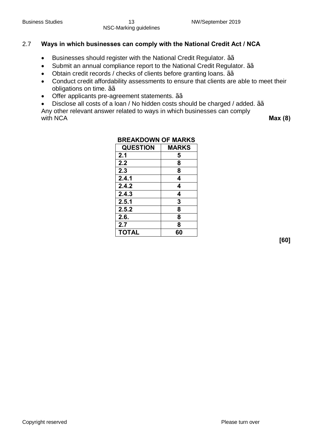### 2.7 **Ways in which businesses can comply with the National Credit Act / NCA**

- · Businesses should register with the National Credit Regulator. √√
- Submit an annual compliance report to the National Credit Regulator. 1⁄2/<sub>2</sub>
- · Obtain credit records / checks of clients before granting loans. √√
- · Conduct credit affordability assessments to ensure that clients are able to meet their obligations on time. 1⁄2⁄2
- · Offer applicants pre-agreement statements. √√
- · Disclose all costs of a loan / No hidden costs should be charged / added. √√

Any other relevant answer related to ways in which businesses can comply with NCA **Max** (8)

| DREARDUWN UF MARRJ |  |  |
|--------------------|--|--|
| <b>MARKS</b>       |  |  |
| 5                  |  |  |
| 8                  |  |  |
| 8                  |  |  |
| 4                  |  |  |
| 4                  |  |  |
| 4                  |  |  |
| 3                  |  |  |
| 8                  |  |  |
| 8                  |  |  |
| 8                  |  |  |
| 60                 |  |  |
|                    |  |  |

# **BREAKDOWN OF MARKS**

**[60]**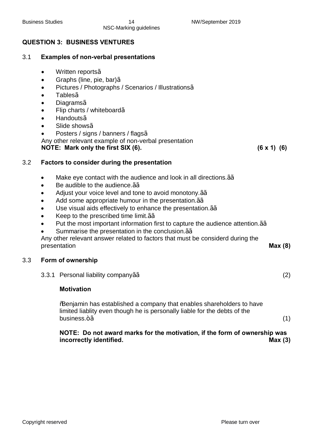### **QUESTION 3: BUSINESS VENTURES**

#### 3.1 **Examples of non-verbal presentations**

- · Written reports√
- · Graphs (line, pie, bar)√
- · Pictures / Photographs / Scenarios / Illustrations√
- · Tables√
- · Diagrams√
- · Flip charts / whiteboard√
- · Handouts√
- · Slide shows√
- · Posters / signs / banners / flags√

Any other relevant example of non-verbal presentation

**NOTE: Mark only the first SIX (6). (6 x 1) (6)**

#### 3.2 **Factors to consider during the presentation**

- Make eye contact with the audience and look in all directions.1⁄2⁄2
- · Be audible to the audience.√√
- · Adjust your voice level and tone to avoid monotony.√√
- · Add some appropriate humour in the presentation.√√
- Use visual aids effectively to enhance the presentation.1⁄<sup>2</sup>⁄2
- · Keep to the prescribed time limit.√√
- Put the most important information first to capture the audience attention.1⁄2⁄2
- Summarise the presentation in the conclusion.<sup>1⁄2</sup>⁄2

Any other relevant answer related to factors that must be considerd during the presentation **Max (8)** 

#### 3.3 **Form of ownership**

3.3.1 Personal liability company¼ (2)  $(2)$ 

#### **Motivation**

"Benjamin has established a company that enables shareholders to have limited liablity even though he is personally liable for the debts of the business. $+\frac{1}{2}$  (1)

#### **NOTE: Do not award marks for the motivation, if the form of ownership was incorrectly identified. Max (3)**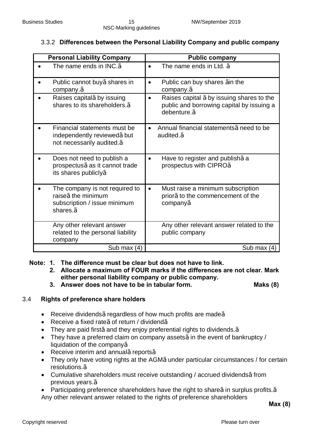### 3.3.2 **Differences between the Personal Liability Company and public company**

| <b>Personal Liability Company</b>                                                                               | <b>Public company</b>                                                                                                              |
|-----------------------------------------------------------------------------------------------------------------|------------------------------------------------------------------------------------------------------------------------------------|
| The name ends in $INC.\frac{1}{2}$                                                                              | The name ends in Ltd. $\frac{1}{2}$                                                                                                |
| Public cannot buy1/2shares in<br>company. $\frac{1}{2}$                                                         | Public can buy shares 1/4n the<br>$\bullet$<br>company. <sup>1/2</sup>                                                             |
| Raises capital% by issuing<br>shares to its shareholders. <sup>1/2</sup>                                        | Raises capital 1/2 by issuing shares to the<br>$\bullet$<br>public and borrowing capital by issuing a<br>debenture. <sup>1/2</sup> |
| Financial statements must be<br>independently reviewed%but<br>not necessarily audited. <sup>1/2</sup>           | Annual financial statements 1/2 need to be<br>audited. $\frac{1}{2}$                                                               |
| Does not need to publish a<br>prospectus1/2as it cannot trade<br>its shares publicly1/2                         | Have to register and publish 1/2a<br>prospectus with CIPRO1/2                                                                      |
| The company is not required to<br>raise1/2the minimum<br>subscription / issue minimum<br>shares. <sup>1/2</sup> | Must raise a minimum subscription<br>$\bullet$<br>prior1/ <sub>2</sub> to the commencement of the<br>company <sup>1/2</sup>        |
| Any other relevant answer<br>related to the personal liability<br>company                                       | Any other relevant answer related to the<br>public company                                                                         |
| Sub max $(4)$                                                                                                   | Sub max $(4)$                                                                                                                      |

**Note: 1. The difference must be clear but does not have to link.**

- **2. Allocate a maximum of FOUR marks if the differences are not clear. Mark either personal liability company or public company.**
- **3. Answer does not have to be in tabular form. Maks (8)**

### 3.4 **Rights of preference share holders**

- Receive dividends1⁄<sub>2</sub> regardless of how much profits are made<sup>1</sup>/<sub>2</sub>
- · Receive a fixed rate√ of return / dividend√
- They are paid first½ and they enjoy preferential rights to dividends. <sup>1</sup>/<sub>2</sub>
- · They have a preferred claim on company assets√ in the event of bankruptcy / liquidation of the company√
- Receive interim and annual½ reports<sup>1</sup>/<sub>2</sub>
- They only have voting rights at the AGM½ under particular circumstances / for certain resolutions.√
- · Cumulative shareholders must receive outstanding / accrued dividends√ from previous years.√
- Participating preference shareholders have the right to share¼ in surplus profits.1⁄2 Any other relevant answer related to the rights of preference shareholders

**Max (8)**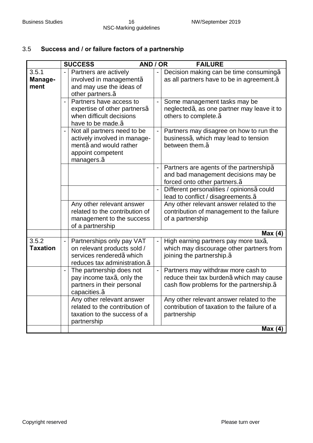### 3.5 **Success and / or failure factors of a partnership**

|                          | <b>SUCCESS</b><br>AND / OR                                                                                                                           |                          | <b>FAILURE</b>                                                                                                                             |
|--------------------------|------------------------------------------------------------------------------------------------------------------------------------------------------|--------------------------|--------------------------------------------------------------------------------------------------------------------------------------------|
| 3.5.1<br>Manage-<br>ment | Partners are actively<br>involved in management1/2<br>and may use the ideas of<br>other partners. <sup>1/2</sup>                                     |                          | Decision making can be time consuming <sup>1/2</sup><br>as all partners have to be in agreement. <sup>1/2</sup>                            |
|                          | Partners have access to<br>expertise of other partners <sup>1/2</sup><br>when difficult decisions<br>have to be made. <sup>1/2</sup>                 |                          | Some management tasks may be<br>neglected1/ <sub>2</sub> as one partner may leave it to<br>others to complete. <sup>1/2</sup>              |
|                          | Not all partners need to be<br>actively involved in manage-<br>ment1/ <sub>2</sub> and would rather<br>appoint competent<br>managers. <sup>1/2</sup> | $\overline{\phantom{0}}$ | Partners may disagree on how to run the<br>business1/ <sub>2</sub> which may lead to tension<br>between them. $\frac{1}{2}$                |
|                          |                                                                                                                                                      |                          | Partners are agents of the partnership <sup>1/2</sup><br>and bad management decisions may be<br>forced onto other partners. <sup>1/2</sup> |
|                          |                                                                                                                                                      |                          | Different personalities / opinions1/2could<br>lead to conflict / disagreements. <sup>1/2</sup>                                             |
|                          | Any other relevant answer<br>related to the contribution of<br>management to the success<br>of a partnership                                         |                          | Any other relevant answer related to the<br>contribution of management to the failure<br>of a partnership                                  |
|                          |                                                                                                                                                      |                          | Max(4)                                                                                                                                     |
| 3.5.2<br><b>Taxation</b> | Partnerships only pay VAT<br>on relevant products sold /<br>services rendered1/2which<br>reduces tax administration. <sup>1/2</sup>                  |                          | High earning partners pay more tax1/3<br>which may discourage other partners from<br>joining the partnership. 1/2                          |
|                          | The partnership does not<br>pay income tax $\frac{1}{2}$ only the<br>partners in their personal<br>capacities. <sup>1/2</sup>                        |                          | Partners may withdraw more cash to<br>reduce their tax burden 1/2 which may cause<br>cash flow problems for the partnership. 1/2           |
|                          | Any other relevant answer<br>related to the contribution of<br>taxation to the success of a<br>partnership                                           |                          | Any other relevant answer related to the<br>contribution of taxation to the failure of a<br>partnership                                    |
|                          |                                                                                                                                                      |                          | Max(4)                                                                                                                                     |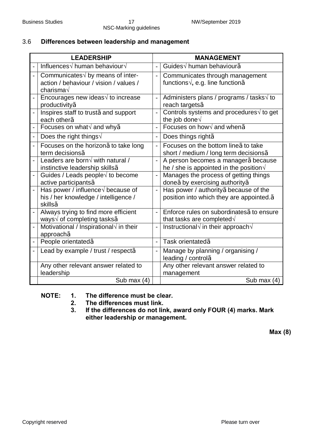### 3.6 **Differences between leadership and management**

| <b>LEADERSHIP</b> |                                                                                                           |                          | <b>MANAGEMENT</b>                                                                                  |  |
|-------------------|-----------------------------------------------------------------------------------------------------------|--------------------------|----------------------------------------------------------------------------------------------------|--|
|                   | Influences $\sqrt{}$ human behaviour $\sqrt{}$                                                            | $\overline{a}$           | Guides√ human behaviour <sup>y</sup>                                                               |  |
|                   | Communicates $\sqrt{}$ by means of inter-<br>action / behaviour / vision / values /<br>charisma√          | $\overline{a}$           | Communicates through management<br>functions $\sqrt{ }$ , e.g. line function $\frac{1}{2}$         |  |
|                   | Encourages new ideas $\sqrt{ }$ to increase<br>productivity <sup>1/2</sup>                                |                          | Administers plans / programs / tasks $\sqrt{10}$ to<br>reach targets <sup>1/2</sup>                |  |
|                   | Inspires staff to trust1/2 and support<br>each other <sup>1/2</sup>                                       | $\overline{a}$           | Controls systems and procedures $\sqrt{ }$ to get<br>the job done $\sqrt{ }$                       |  |
|                   | Focuses on what $\sqrt{ }$ and why $\frac{1}{2}$                                                          |                          | Focuses on how $\sqrt{ }$ and when $\frac{1}{2}$                                                   |  |
|                   | Does the right things $\sqrt{ }$                                                                          |                          | Does things right <sup>1/2</sup>                                                                   |  |
|                   | Focuses on the horizon1/2 to take long<br>term decisions <sup>1/2</sup>                                   |                          | Focuses on the bottom line 1/2 to take<br>short / medium / long term decisions <sup>1/2</sup>      |  |
|                   | Leaders are born $\sqrt{ }$ with natural /<br>instinctive leadership skills1/2                            |                          | A person becomes a manager1/2because<br>he / she is appointed in the position $\sqrt{ }$           |  |
|                   | Guides / Leads people $\sqrt{ }$ to become<br>active participants <sup>1/2</sup>                          |                          | Manages the process of getting things<br>done1/2by exercising authority1/2                         |  |
|                   | Has power / influence $\sqrt$ because of<br>his / her knowledge / intelligence /<br>skills <sup>1/2</sup> | $\overline{a}$           | Has power / authority 1/2 because of the<br>position into which they are appointed. <sup>1/2</sup> |  |
|                   | Always trying to find more efficient<br>ways $\sqrt{}$ of completing tasks $\frac{1}{2}$                  |                          | Enforce rules on subordinates 1/2 to ensure<br>that tasks are completed $\sqrt{}$                  |  |
|                   | Motivational / Inspirational $\sqrt{}$ in their<br>approach <sup>1/2</sup>                                | $\overline{a}$           | Instructional $\sqrt{}$ in their approach $\sqrt{}$                                                |  |
|                   | People orientated1/2                                                                                      | $\overline{a}$           | Task orientated1/2                                                                                 |  |
|                   | Lead by example / trust / respect <sup>1/2</sup>                                                          | $\overline{\phantom{a}}$ | Manage by planning / organising /<br>leading / control1/2                                          |  |
|                   | Any other relevant answer related to<br>leadership                                                        |                          | Any other relevant answer related to<br>management                                                 |  |
|                   | Sub max $(4)$                                                                                             |                          | Sub max $(4)$                                                                                      |  |

- **NOTE: 1. The difference must be clear.**
	- **2. The differences must link.**
		- **3. If the differences do not link, award only FOUR (4) marks. Mark either leadership or management.**

**Max (8)**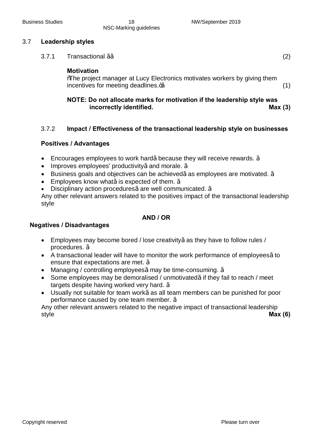#### 3.7 **Leadership styles**

 $3.7.1$  Transactional ¼⁄<sub>2</sub> (2)

#### **Motivation**

**%The project manager at Lucy Electronics motivates workers by giving them** incentives for meeting deadlines. $\frac{4}{2}$  (1)

### **NOTE: Do not allocate marks for motivation if the leadership style was incorrectly identified. Max (3)**

#### 3.7.2 **Impact / Effectiveness of the transactional leadership style on businesses**

#### **Positives / Advantages**

- Encourages employees to work hard½ because they will receive rewards. ½
- Improves employees' productivity½ and morale. ½
- Business goals and objectives can be achieved½ as employees are motivated.  $\frac{1}{2}$
- Employees know what½ is expected of them.  $\frac{1}{2}$
- Disciplinary action procedures¼ are well communicated. <sup>1/2</sup>

Any other relevant answers related to the positives impact of the transactional leadership style

#### **AND / OR**

#### **Negatives / Disadvantages**

- · Employees may become bored / lose creativity√ as they have to follow rules / procedures. √
- A transactional leader will have to monitor the work performance of employees1/2to ensure that expectations are met. √
- Managing / controlling employees $\frac{1}{2}$  may be time-consuming.  $\frac{1}{2}$
- · Some employees may be demoralised / unmotivated√ if they fail to reach / meet targets despite having worked very hard. ½
- Usually not suitable for team work½ as all team members can be punished for poor performance caused by one team member. √

Any other relevant answers related to the negative impact of transactional leadership style **Max (6)**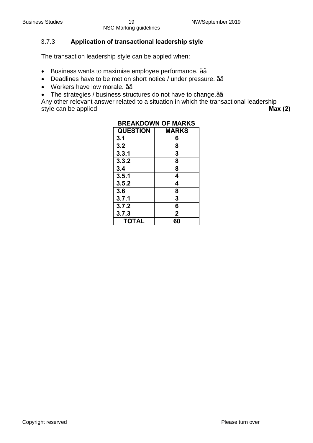### 3.7.3 **Application of transactional leadership style**

The transaction leadership style can be appled when:

- · Business wants to maximise employee performance. √√
- · Deadlines have to be met on short notice / under pressure. √√
- · Workers have low morale. √√
- · The strategies / business structures do not have to change.√√

Any other relevant answer related to a situation in which the transactional leadership style can be applied **Max (2) Max (2) Max (2)** 

| DREARDUWN UF MARRJ |                |
|--------------------|----------------|
| <b>QUESTION</b>    | <b>MARKS</b>   |
| 3.1                | 6              |
| 3.2                | 8              |
| 3.3.1              | 3              |
| 3.3.2              | 8              |
| 3.4                | 8              |
| 3.5.1              | 4              |
| 3.5.2              | 4              |
| 3.6                | 8              |
| 3.7.1              | 3              |
| 3.7.2              | 6              |
| 3.7.3              | $\overline{2}$ |
| <b>TOTAL</b>       | 60             |

### **BREAKDOWN OF MARKS**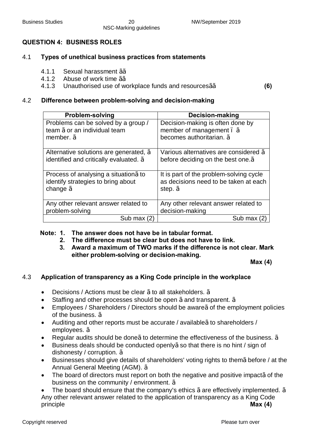#### **QUESTION 4: BUSINESS ROLES**

#### 4.1 **Types of unethical business practices from statements**

- 4.1.1 Sexual harassment √√
- 4.1.2 Abuse of work time 1⁄<sub>2</sub>/<sub>2</sub>
- 4.1.3 Unauthorised use of workplace funds and resources√√ **(6)**

#### 4.2 **Difference between problem-solving and decision-making**

| <b>Problem-solving</b>                   | <b>Decision-making</b>                          |
|------------------------------------------|-------------------------------------------------|
| Problems can be solved by a group /      | Decision-making is often done by                |
| team 1/20r an individual team            | member of management . 1/2                      |
| member. $\frac{1}{2}$                    | becomes authoritarian. 1/2                      |
|                                          |                                                 |
| Alternative solutions are generated, 1/2 | Various alternatives are considered 1/2         |
| identified and critically evaluated. 1/2 | before deciding on the best one. <sup>1/2</sup> |
|                                          |                                                 |
| Process of analysing a situation 1/2 to  | It is part of the problem-solving cycle         |
| identify strategies to bring about       | as decisions need to be taken at each           |
| change $\frac{1}{2}$                     | step. $\frac{1}{2}$                             |
|                                          |                                                 |
| Any other relevant answer related to     | Any other relevant answer related to            |
| problem-solving                          | decision-making                                 |
| Sub max                                  | Sub max                                         |

#### **Note: 1. The answer does not have be in tabular format.**

- **2. The difference must be clear but does not have to link.**
- **3. Award a maximum of TWO marks if the difference is not clear. Mark either problem-solving or decision-making.**

**Max (4)**

#### 4.3 **Application of transparency as a King Code principle in the workplace**

- Decisions / Actions must be clear 1/2 to all stakeholders. 1/2
- Staffing and other processes should be open  $\frac{1}{2}$  and transparent.  $\frac{1}{2}$
- · Employees / Shareholders / Directors should be aware√ of the employment policies of the business. √
- Auditing and other reports must be accurate / available¼to shareholders / employees. √
- Regular audits should be done¼ to determine the effectiveness of the business.  $\frac{1}{2}$
- · Business deals should be conducted openly√ so that there is no hint / sign of dishonesty / corruption. √
- Businesses should give details of shareholders' voting rights to them1⁄2 before / at the Annual General Meeting (AGM). √
- The board of directors must report on both the negative and positive impact½ of the business on the community / environment. √

The board should ensure that the company's ethics  $\frac{1}{2}$  are effectively implemented.  $\frac{1}{2}$ Any other relevant answer related to the application of transparency as a King Code principle **Max (4)**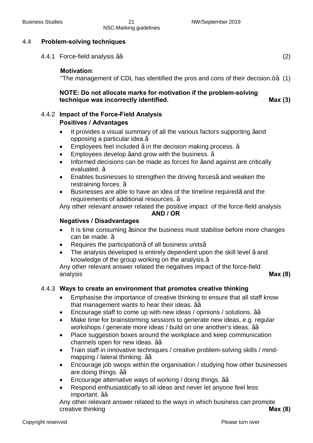#### 4.4 **Problem-solving techniques**

4.4.1 Force-field analysis √√ (2)  $(2)$ 

#### **Motivation**:

"The management of CDL has identified the pros and cons of their decision. $+$  / $\frac{1}{2}$  (1)

### **NOTE: Do not allocate marks for motivation if the problem-solving technique was incorrectly identified. Max (3)**

### 4.4.2 **Impact of the Force-Field Analysis**

#### **Positives / Advantages**

- It provides a visual summary of all the various factors supporting 1/and opposing a particular idea.√
- Employees feel included  $\frac{1}{2}$  in the decision making process.  $\frac{1}{2}$
- Employees develop  $\frac{1}{2}$  and grow with the business.  $\frac{1}{2}$
- Informed decisions can be made as forces for ¼and against are critically evaluated. √
- Enables businesses to strengthen the driving forces1⁄2 and weaken the restraining forces. √
- Businesses are able to have an idea of the timeline required½ and the requirements of additional resources. √

Any other relevant answer related the positive impact of the force-field analysis

#### **AND / OR**

#### **Negatives / Disadvantages**

- It is time consuming 1/since the business must stabilise before more changes can be made. √
- Requires the participation1⁄2 of all business units<sup>1/2</sup>
- The analysis developed is entirely dependent upon the skill level  $\frac{1}{2}$  and knowledge of the group working on the analysis.√

Any other relevant answer related the negatives impact of the force-field analysis **Max (8)**

#### 4.4.3 **Ways to create an environment that promotes creative thinking**

- · Emphasise the importance of creative thinking to ensure that all staff know that management wants to hear their ideas.  $\frac{1}{2}$
- Encourage staff to come up with new ideas / opinions / solutions.  $\frac{1}{2}$
- Make time for brainstorming sessions to generate new ideas, e.g. regular workshops / generate more ideas / build on one another's ideas. 1⁄2⁄2
- Place suggestion boxes around the workplace and keep communication channels open for new ideas. √√
- Train staff in innovative techniques / creative problem-solving skills / mindmapping / lateral thinking. 1⁄2⁄2
- Encourage job swops within the organisation / studying how other businesses are doing things. 1⁄<sub>2</sub>/<sub>2</sub>
- Encourage alternative ways of working / doing things.  $\frac{1}{2}$
- · Respond enthusiastically to all ideas and never let anyone feel less important. √√

Any other relevant answer related to the ways in which business can promote creative thinking **Max (8)**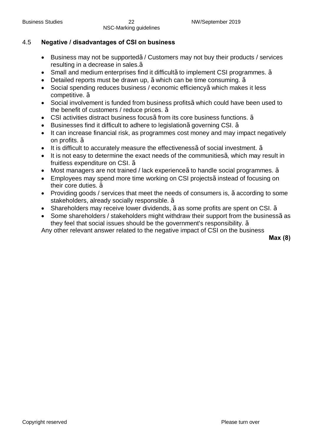### 4.5 **Negative / disadvantages of CSI on business**

- Business may not be supported¼ Customers may not buy their products / services resulting in a decrease in sales.√
- Small and medium enterprises find it difficult<sup>1</sup>/<sub>2</sub>to implement CSI programmes. <sup>1</sup>/<sub>2</sub>
- Detailed reports must be drawn up, 1⁄2 which can be time consuming. 1⁄2
- · Social spending reduces business / economic efficiency√ which makes it less competitive. √
- · Social involvement is funded from business profits√ which could have been used to the benefit of customers / reduce prices. √
- CSI activities distract business focus¼ from its core business functions. ¼
- Businesses find it difficult to adhere to legislation  $\frac{1}{2}$  governing CSI.  $\frac{1}{2}$
- It can increase financial risk, as programmes cost money and may impact negatively on profits. √
- It is difficult to accurately measure the effectiveness  $\frac{1}{2}$  social investment.  $\frac{1}{2}$
- It is not easy to determine the exact needs of the communities $\frac{1}{2}$  which may result in fruitless expenditure on CSI. √
- · Most managers are not trained / lack experience√ to handle social programmes. √
- · Employees may spend more time working on CSI projects√ instead of focusing on their core duties. √
- · Providing goods / services that meet the needs of consumers is, √ according to some stakeholders, already socially responsible. √
- Shareholders may receive lower dividends, 1/2 as some profits are spent on CSI. <sup>1</sup>/<sub>2</sub>
- Some shareholders / stakeholders might withdraw their support from the business1⁄2 as they feel that social issues should be the government's responsibility. √

Any other relevant answer related to the negative impact of CSI on the business

**Max (8)**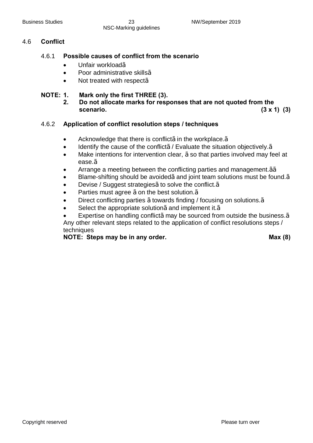#### 4.6 **Conflict**

#### 4.6.1 **Possible causes of conflict from the scenario**

- · Unfair workload√
- · Poor administrative skills√
- · Not treated with respect√

#### **NOTE: 1. Mark only the first THREE (3).**

**2. Do not allocate marks for responses that are not quoted from the scenario. (3 x 1) (3)**

#### 4.6.2 **Application of conflict resolution steps / techniques**

- Acknowledge that there is conflict $\frac{1}{2}$  in the workplace.  $\frac{1}{2}$
- Identify the cause of the conflict<sup>1/2</sup> Evaluate the situation objectively.<sup>1/2</sup>
- · Make intentions for intervention clear, √ so that parties involved may feel at ease.√
- Arrange a meeting between the conflicting parties and management. 1⁄2⁄2
- Blame-shifting should be avoided½ and joint team solutions must be found.1⁄2
- Devise / Suggest strategies<sup>1</sup>/<sub>2</sub> to solve the conflict.<sup>1/2</sup>
- Parties must agree ½ on the best solution.<sup>1⁄2</sup>
- Direct conflicting parties 1/<sub>2</sub> towards finding / focusing on solutions.<sup>1/2</sup>
- Select the appropriate solution $\frac{1}{2}$  and implement it. $\frac{1}{2}$

Expertise on handling conflict½ may be sourced from outside the business. 1⁄2 Any other relevant steps related to the application of conflict resolutions steps / techniques

**NOTE: Steps may be in any order. Max (8)**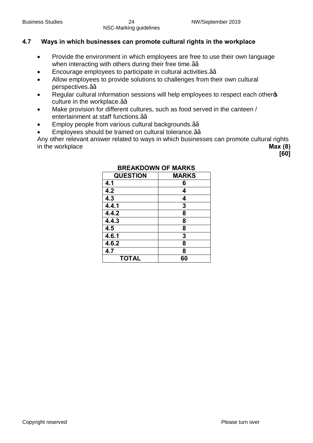### **4.7 Ways in which businesses can promote cultural rights in the workplace**

- · Provide the environment in which employees are free to use their own language when interacting with others during their free time.<sup>1⁄2</sup>⁄2
- Encourage employees to participate in cultural activities.<sup>1⁄2</sup>⁄<sub>2</sub>
- Allow employees to provide solutions to challenges from their own cultural perspectives.√√
- Regular cultural information sessions will help employees to respect each otherge culture in the workplace.1⁄<sup>2</sup>⁄2
- Make provision for different cultures, such as food served in the canteen / entertainment at staff functions.1⁄<sup>2</sup>⁄2
- Employ people from various cultural backgrounds.1⁄<sup>2</sup>⁄2
- Employees should be trained on cultural tolerance.<sup>1⁄2</sup>⁄2

Any other relevant answer related to ways in which businesses can promote cultural rights in the workplace **Max** (8)

**[60]**

| <b>QUESTION</b> | <b>MARKS</b> |
|-----------------|--------------|
| 4.1             | 6            |
| 4.2             | 4            |
| 4.3             | 4            |
| 4.4.1           | 3            |
| 4.4.2           | 8            |
| 4.4.3           | 8            |
| 4.5             | 8            |
| 4.6.1           | 3            |
| 4.6.2           | 8            |
| 4.7             | 8            |
| <b>TOTAL</b>    | 60           |

### **BREAKDOWN OF MARKS**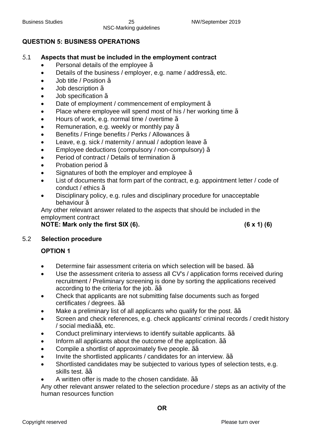### **QUESTION 5: BUSINESS OPERATIONS**

### 5.1 **Aspects that must be included in the employment contract**

- Personal details of the employee  $\frac{1}{2}$
- Details of the business / employer, e.g. name / address1/<sub>2</sub> etc.
- Job title / Position  $\frac{1}{2}$
- · Job description √
- · Job specification √
- · Date of employment / commencement of employment √
- Place where employee will spend most of his / her working time  $\frac{1}{2}$
- · Hours of work, e.g. normal time / overtime √
- Remuneration, e.g. weekly or monthly pay  $\frac{1}{2}$
- · Benefits / Fringe benefits / Perks / Allowances √
- Leave, e.g. sick / maternity / annual / adoption leave  $\frac{1}{2}$
- · Employee deductions (compulsory / non-compulsory) √
- · Period of contract / Details of termination √
- · Probation period √
- Signatures of both the employer and employee  $\frac{1}{2}$
- List of documents that form part of the contract, e.g. appointment letter / code of conduct / ethics √
- Disciplinary policy, e.g. rules and disciplinary procedure for unacceptable behaviour ½

Any other relevant answer related to the aspects that should be included in the employment contract

**NOTE: Mark only the first SIX (6). (6 x 1) (6)**

#### 5.2 **Selection procedure**

### **OPTION 1**

- Determine fair assessment criteria on which selection will be based. ¼∕∠
- Use the assessment criteria to assess all CV's / application forms received during recruitment / Preliminary screening is done by sorting the applications received according to the criteria for the job. 1⁄<sup>2</sup>⁄2
- · Check that applicants are not submitting false documents such as forged certificates / degrees. √√
- Make a preliminary list of all applicants who qualify for the post.  $\frac{1}{2}$
- Screen and check references, e.g. check applicants' criminal records / credit history / social media√√, etc.
- Conduct preliminary interviews to identify suitable applicants. 1⁄<sup>2</sup>⁄2
- · Inform all applicants about the outcome of the application. √√
- Compile a shortlist of approximately five people. 1⁄<sup>2</sup>⁄2
- · Invite the shortlisted applicants / candidates for an interview. √√
- · Shortlisted candidates may be subjected to various types of selection tests, e.g. skills test. √√
- · A written offer is made to the chosen candidate. √√

Any other relevant answer related to the selection procedure / steps as an activity of the human resources function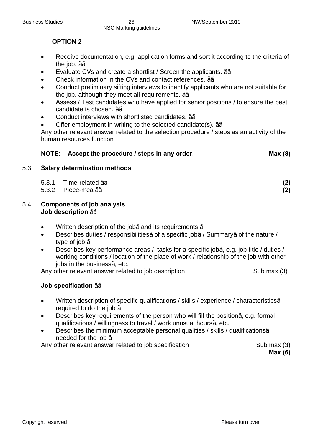### **OPTION 2**

- · Receive documentation, e.g. application forms and sort it according to the criteria of the job.  $\frac{1}{2}$
- Evaluate CVs and create a shortlist / Screen the applicants. 1⁄<sup>2</sup>⁄<sub>2</sub>
- · Check information in the CVs and contact references. √√
- · Conduct preliminary sifting interviews to identify applicants who are not suitable for the job, although they meet all requirements.  $\frac{1}{2}$
- Assess / Test candidates who have applied for senior positions / to ensure the best candidate is chosen. √√
- · Conduct interviews with shortlisted candidates. √√
- Offer employment in writing to the selected candidate(s). √⁄<sub>2</sub>

Any other relevant answer related to the selection procedure / steps as an activity of the human resources function

### **NOTE:** Accept the procedure / steps in any order. **Max** (8)

#### 5.3 **Salary determination methods**

| 5.3.1 Time-related $\frac{1}{2}$ | (2) |
|----------------------------------|-----|
| 5.3.2 Piece-meal $\frac{1}{2}$   | (2) |

- 5.4 **Components of job analysis** Job description  $\frac{1}{2}$ 
	- Written description of the job½ and its requirements  $\frac{1}{2}$
	- Describes duties / responsibilities½ of a specific job½ Summary½ of the nature / type of job  $\frac{1}{2}$
	- Describes key performance areas / tasks for a specific job $\frac{1}{2}$  e.g. job title / duties / working conditions / location of the place of work / relationship of the job with other  $i$ obs in the business $\frac{1}{2}$  etc.

Any other relevant answer related to job description Sub max (3)

#### **Job specification** √√

- · Written description of specific qualifications / skills / experience / characteristics√ required to do the job  $\frac{1}{2}$
- Describes key requirements of the person who will fill the position  $\frac{1}{2}$  e.g. formal qualifications / willingness to travel / work unusual hours $\frac{1}{2}$  etc.
- Describes the minimum acceptable personal qualities / skills / qualifications1⁄2 needed for the job ½

Any other relevant answer related to job specification Theorem Company (3)

**Max (6)**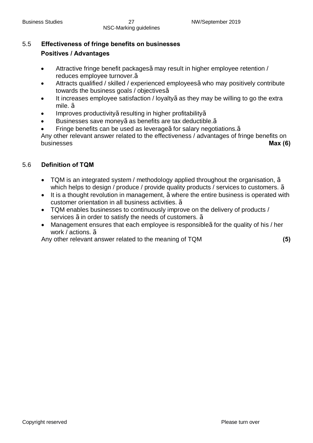# 5.5 **Effectiveness of fringe benefits on businesses Positives / Advantages**

- · Attractive fringe benefit packages√ may result in higher employee retention / reduces employee turnover.√
- · Attracts qualified / skilled / experienced employees√ who may positively contribute towards the business goals / objectives√
- It increases employee satisfaction / loyalty½ as they may be willing to go the extra mile. √
- Improves productivity½ resulting in higher profitability½
- Businesses save money½ as benefits are tax deductible.1⁄2
- Fringe benefits can be used as leverage½ for salary negotiations.1⁄2

Any other relevant answer related to the effectiveness / advantages of fringe benefits on businesses **Max (6)**

### 5.6 **Definition of TQM**

- TQM is an integrated system / methodology applied throughout the organisation,  $\frac{1}{2}$ which helps to design / produce / provide quality products / services to customers.  $\frac{1}{2}$
- · It is a thought revolution in management, √ where the entire business is operated with customer orientation in all business activities. √
- · TQM enables businesses to continuously improve on the delivery of products / services  $\frac{1}{2}$  in order to satisfy the needs of customers.  $\frac{1}{2}$
- Management ensures that each employee is responsible¼ for the quality of his / her work / actions. 1/2

Any other relevant answer related to the meaning of TQM **(5)**

Copyright reserved **Please turn over the Copyright reserved** Please turn over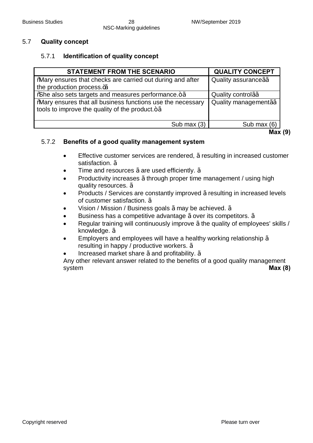#### 5.7 **Quality concept**

#### 5.7.1 **Identification of quality concept**

| <b>STATEMENT FROM THE SCENARIO</b>                                                                                                   | <b>QUALITY CONCEPT</b>             |
|--------------------------------------------------------------------------------------------------------------------------------------|------------------------------------|
| <b>Wary ensures that checks are carried out during and after</b>                                                                     | Quality assurance /2/2             |
| the production process. $\frac{4}{2}$                                                                                                |                                    |
| % % he also sets targets and measures performance.                                                                                   | Quality control <sup>12/2</sup>    |
| <b>Mary ensures that all business functions use the necessary</b><br>tools to improve the quality of the product. $+$ <sup>1/2</sup> | Quality management <sup>12/2</sup> |
| Sub max $(3)$                                                                                                                        | Sub max (6)                        |

**Max (9)**

#### 5.7.2 **Benefits of a good quality management system**

- · Effective customer services are rendered, √ resulting in increased customer satisfaction. 1⁄2
- Time and resources  $\frac{1}{2}$  are used efficiently.  $\frac{1}{2}$
- · Productivity increases √ through proper time management / using high quality resources. √
- Products / Services are constantly improved ½ resulting in increased levels of customer satisfaction. √
- Vision / Mission / Business goals  $\frac{1}{2}$  may be achieved.  $\frac{1}{2}$
- · Business has a competitive advantage √ over its competitors. √
- Regular training will continuously improve 1/2 the quality of employees' skills / knowledge. √
- Employers and employees will have a healthy working relationship  $\frac{1}{2}$ resulting in happy / productive workers. √
- Increased market share  $\frac{1}{2}$  and profitability.  $\frac{1}{2}$

Any other relevant answer related to the benefits of a good quality management system **Max (8)**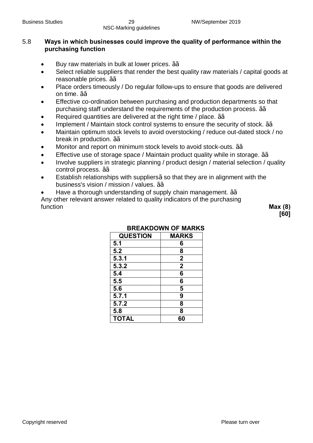### 5.8 **Ways in which businesses could improve the quality of performance within the purchasing function**

- Buy raw materials in bulk at lower prices.  $\frac{1}{2}$
- Select reliable suppliers that render the best quality raw materials / capital goods at reasonable prices. √√
- Place orders timeously / Do regular follow-ups to ensure that goods are delivered on time. √√
- Effective co-ordination between purchasing and production departments so that purchasing staff understand the requirements of the production process. 1⁄<sup>3</sup>⁄<sub>2</sub>
- Required quantities are delivered at the right time / place.  $\frac{1}{2}$
- Implement / Maintain stock control systems to ensure the security of stock. 1⁄<sup>2</sup>⁄2
- Maintain optimum stock levels to avoid overstocking / reduce out-dated stock / no break in production.  $\frac{1}{2}$
- Monitor and report on minimum stock levels to avoid stock-outs. 1⁄2⁄2
- Effective use of storage space / Maintain product quality while in storage.  $\frac{1}{2}$
- · Involve suppliers in strategic planning / product design / material selection / quality control process. √√
- Establish relationships with suppliers<sup>1</sup>/<sub>2</sub>so that they are in alignment with the business's vision / mission / values. 1⁄2/<sub>2</sub>
- Have a thorough understanding of supply chain management. 1⁄<sup>3</sup>⁄2

Any other relevant answer related to quality indicators of the purchasing function **Max (8)**

**[60]**

| <b>QUESTION</b> | <b>MARKS</b>     |
|-----------------|------------------|
| 5.1             | 6                |
| 5.2             | 8                |
| 5.3.1           | $\mathbf 2$      |
| 5.3.2           | $\boldsymbol{2}$ |
| 5.4             | 6                |
| 5.5             | 6                |
| 5.6             | 5                |
| 5.7.1           | 9                |
| 5.7.2           | 8                |
| 5.8             | 8                |
| <b>TOTAL</b>    | 60               |

### **BREAKDOWN OF MARKS**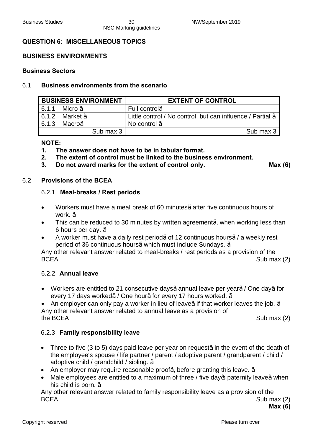#### **QUESTION 6: MISCELLANEOUS TOPICS**

#### **BUSINESS ENVIRONMENTS**

#### **Business Sectors**

#### 6.1 **Business environments from the scenario**

| <b>BUSINESS ENVIRONMENT</b> |                            | <b>EXTENT OF CONTROL</b>                                               |
|-----------------------------|----------------------------|------------------------------------------------------------------------|
| 6.1.1                       | Micro $\frac{1}{2}$        | Full control $\frac{1}{2}$                                             |
|                             | 6.1.2 Market $\frac{1}{2}$ | Little control / No control, but can influence / Partial $\frac{1}{2}$ |
| 6.1.3                       | Macro½                     | No control $\frac{1}{2}$                                               |
|                             | Sub max $3 \mid$           | Sub max 3                                                              |

#### **NOTE:**

- **1. The answer does not have to be in tabular format.**
- **2. The extent of control must be linked to the business environment.**
- **3. Do not award marks for the extent of control only. Max (6)**

#### 6.2 **Provisions of the BCEA**

#### 6.2.1 **Meal-breaks / Rest periods**

- · Workers must have a meal break of 60 minutes√ after five continuous hours of work. ½
- This can be reduced to 30 minutes by written agreement $\frac{1}{4}$  when working less than 6 hours per day. √
- A worker must have a daily rest period½ of 12 continuous hours½ a weekly rest period of 36 continuous hours½ which must include Sundays. ½

Any other relevant answer related to meal-breaks / rest periods as a provision of the BCEA Sub max (2)

#### 6.2.2 **Annual leave**

- Workers are entitled to 21 consecutive days1⁄annual leave per year1⁄2/ One day1⁄2 for every 17 days worked½ One hour½ for every 17 hours worked. ½
- An employer can only pay a worker in lieu of leave½ if that worker leaves the job.  $\frac{1}{2}$ Any other relevant answer related to annual leave as a provision of

the BCEA Sub max (2)

#### 6.2.3 **Family responsibility leave**

- Three to five (3 to 5) days paid leave per year on request¼ in the event of the death of the employee's spouse / life partner / parent / adoptive parent / grandparent / child / adoptive child / grandchild / sibling. √
- An employer may require reasonable proof $\frac{1}{2}$  before granting this leave.  $\frac{1}{2}$
- Male employees are entitled to a maximum of three / five day to paternity leave 1/2 when his child is born. <sup>1/2</sup>

Any other relevant answer related to family responsibility leave as a provision of the BCEA Sub max (2)

**Max (6)**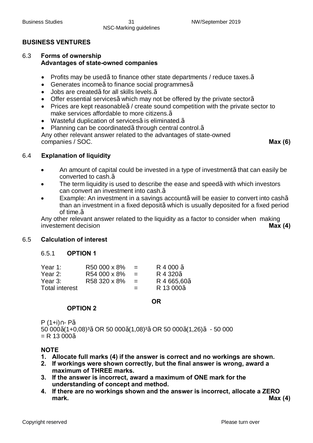### **BUSINESS VENTURES**

#### 6.3 **Forms of ownership Advantages of state-owned companies**

- Profits may be used½ to finance other state departments / reduce taxes. <sup>1/2</sup>
- Generates income½to finance social programmes½
- · Jobs are created√ for all skills levels.√
- Offer essential services1⁄<sub>2</sub> which may not be offered by the private sector<sup>1</sup>/<sub>2</sub>
- Prices are kept reasonable¼ create sound competition with the private sector to make services affordable to more citizens.√
- Wasteful duplication of services1/z is eliminated.<sup>1/2</sup>
- Planning can be coordinated1/<sub>2</sub>through central control.<sup>1/2</sup>

Any other relevant answer related to the advantages of state-owned companies / SOC. **Max (6)**

#### 6.4 **Explanation of liquidity**

- An amount of capital could be invested in a type of investment½ that can easily be converted to cash.√
- The term liquidity is used to describe the ease and speed $\frac{1}{2}$  with which investors can convert an investment into cash.√
- Example: An investment in a savings account½ will be easier to convert into cash½ than an investment in a fixed deposit½ which is usually deposited for a fixed period of time.√

Any other relevant answer related to the liquidity as a factor to consider when making investement decision **Max (4)**

#### 6.5 **Calculation of interest**

#### 6.5.1 **OPTION 1**

| Year 1:               | R50 000 x 8% | $=$ | R 4 000 1/2                         |
|-----------------------|--------------|-----|-------------------------------------|
| Year 2:               | R54 000 x 8% | $=$ | R 4 320 <sup>1</sup> / <sub>2</sub> |
| Year 3:               | R58 320 x 8% | $=$ | R 4 665,60 <sup>1/2</sup>           |
| <b>Total interest</b> |              | $=$ | R 13 000 <sup>1/2</sup>             |
|                       |              |     |                                     |

#### **OR**

#### **OPTION 2**

 $P(1+i) - P\frac{1}{2}$ 50 000√(1+0,08)³√ OR 50 000√(1,08)³√ OR 50 000√(1,26)√ - 50 000  $= R 13 000\frac{1}{2}$ 

#### **NOTE**

- **1. Allocate full marks (4) if the answer is correct and no workings are shown.**
- **2. If workings were shown correctly, but the final answer is wrong, award a maximum of THREE marks.**
- **3. If the answer is incorrect, award a maximum of ONE mark for the understanding of concept and method.**
- **4. If there are no workings shown and the answer is incorrect, allocate a ZERO mark. Max (4)**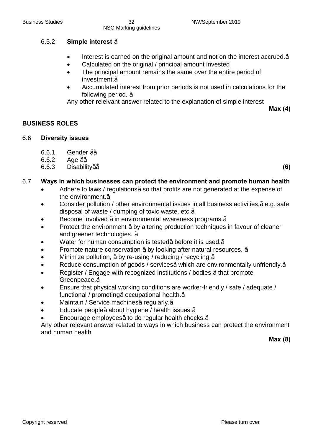#### 6.5.2 **Simple interest** √

- Interest is earned on the original amount and not on the interest accrued.<sup>1/2</sup>
- Calculated on the original / principal amount invested
- The principal amount remains the same over the entire period of investment.√
- · Accumulated interest from prior periods is not used in calculations for the following period. √

Any other relelvant answer related to the explanation of simple interest

**Max (4)**

### **BUSINESS ROLES**

#### 6.6 **Diversity issues**

- 6.6.1 Gender √√
- 6.6.2 Age √√
- 6.6.3 Disability√√ **(6)**

#### 6.7 **Ways in which businesses can protect the environment and promote human health**

- · Adhere to laws / regulations√ so that profits are not generated at the expense of the environment.√
- Consider pollution / other environmental issues in all business activities,1⁄2e.g. safe disposal of waste / dumping of toxic waste, etc.√
- Become involved ½ in environmental awareness programs.<sup>1</sup>%
- Protect the environment ½ by altering production techniques in favour of cleaner and greener technologies. √
- Water for human consumption is tested½ before it is used. $\frac{1}{2}$
- Promote nature conservation  $\frac{1}{2}$  by looking after natural resources.  $\frac{1}{2}$
- Minimize pollution,  $\frac{1}{2}$  by re-using / reducing / recycling.  $\frac{1}{2}$
- Reduce consumption of goods / services1/ which are environmentally unfriendly.1/2
- Register / Engage with recognized institutions / bodies ½ that promote Greenpeace.√
- · Ensure that physical working conditions are worker-friendly / safe / adequate / functional / promoting½ occupational health. $<sub>1</sub>$ </sub>
- Maintain / Service machines1⁄2 regularly.<sup>1</sup>/2
- Educate people½ about hygiene / health issues. 1/2
- Encourage employees1⁄<sub>2</sub> to do regular health checks.<sup>1/2</sup>

Any other relevant answer related to ways in which business can protect the environment and human health

**Max (8)**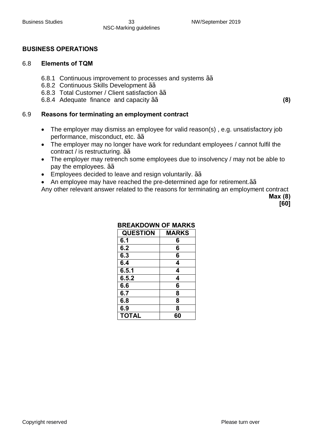#### **BUSINESS OPERATIONS**

#### 6.8 **Elements of TQM**

- 6.8.1 Continuous improvement to processes and systems 1⁄<sup>3</sup>⁄<sub>2</sub>
- 6.8.2 Continuous Skills Development √√
- 6.8.3 Total Customer / Client satisfaction √√
- 6.8.4 Adequate finance and capacity √√ **(8)**

#### 6.9 **Reasons for terminating an employment contract**

- The employer may dismiss an employee for valid reason(s), e.g. unsatisfactory job performance, misconduct, etc. 1⁄2/<sub>2</sub>
- · The employer may no longer have work for redundant employees / cannot fulfil the contract / is restructuring. 1⁄<sup>2</sup>⁄2
- The employer may retrench some employees due to insolvency / may not be able to pay the employees. ¼∠
- · Employees decided to leave and resign voluntarily. √√
- · An employee may have reached the pre-determined age for retirement.√√

Any other relevant answer related to the reasons for terminating an employment contract **Max (8)**

**[60]**

| <b>MARKS</b> |
|--------------|
| 6            |
| 6            |
| 6            |
| 4            |
| 4            |
| 4            |
| 6            |
| 8            |
| 8            |
| 8            |
| 60           |
|              |

#### **BREAKDOWN OF MARKS**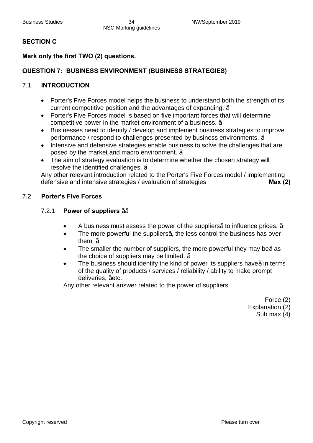### **SECTION C**

### **Mark only the first TWO (2) questions.**

### **QUESTION 7: BUSINESS ENVIRONMENT (BUSINESS STRATEGIES)**

### 7.1 **INTRODUCTION**

- Porter's Five Forces model helps the business to understand both the strength of its current competitive position and the advantages of expanding. √
- · Porter's Five Forces model is based on five important forces that will determine competitive power in the market environment of a business. √
- · Businesses need to identify / develop and implement business strategies to improve performance / respond to challenges presented by business environments.  $\frac{1}{2}$
- · Intensive and defensive strategies enable business to solve the challenges that are posed by the market and macro environment. √
- The aim of strategy evaluation is to determine whether the chosen strategy will resolve the identified challenges. √

Any other relevant introduction related to the Porter's Five Forces model / implementing defensive and intensive strategies / evaluation of strategies **Max (2)**

### 7.2 **Porter's Five Forces**

#### 7.2.1 **Power of suppliers** √√

- A business must assess the power of the suppliers  $\frac{1}{2}$  to influence prices.  $\frac{1}{2}$
- The more powerful the suppliers¼ the less control the business has over them. √
- The smaller the number of suppliers, the more powerful they may be $\frac{1}{2}$  as the choice of suppliers may be limited. √
- The business should identify the kind of power its suppliers have¼in terms of the quality of products / services / reliability / ability to make prompt deliveries, √etc.

Any other relevant answer related to the power of suppliers

Force (2) Explanation (2) Sub max (4)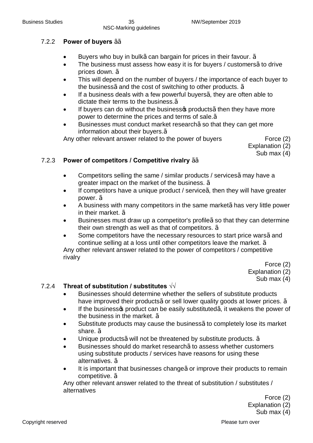### 7.2.2 **Power of buyers** √√

- Buyers who buy in bulk½ can bargain for prices in their favour.  $\frac{1}{2}$
- The business must assess how easy it is for buyers / customers1/<sub>2</sub> to drive prices down. √
- This will depend on the number of buyers / the importance of each buyer to the business½ and the cost of switching to other products.  $\frac{1}{2}$
- If a business deals with a few powerful buyers $\frac{1}{2}$  they are often able to dictate their terms to the business.√
- If buyers can do without the businesso products1⁄2then they have more power to determine the prices and terms of sale.√
- Businesses must conduct market research<sup>1</sup>/<sub>2</sub>so that they can get more information about their buyers.√

Any other relevant answer related to the power of buyers Force (2)

Explanation (2) Sub max (4)

### **7.2.3 Power of competitors / Competitive rivalry** 1⁄<sub>2⁄2</sub>

- Competitors selling the same / similar products / services1/2 may have a greater impact on the market of the business. √
- If competitors have a unique product / service $\frac{1}{2}$  then they will have greater power. √
- A business with many competitors in the same market½ has very little power in their market.  $\frac{1}{2}$
- Businesses must draw up a competitor's profile½so that they can determine their own strength as well as that of competitors. √
- Some competitors have the necessary resources to start price wars1/2 and continue selling at a loss until other competitors leave the market. √

Any other relevant answer related to the power of competitors / competitive rivalry

Force (2)

Explanation (2)

Sub max (4)

### 7.2.4 **Threat of substitution / substitutes √√**

- · Businesses should determine whether the sellers of substitute products have improved their products<sup>1</sup>/<sub>2</sub> or sell lower quality goods at lower prices.  $\frac{1}{2}$
- If the business product can be easily substituted $\frac{1}{2}$  it weakens the power of the business in the market.  $\frac{1}{2}$
- Substitute products may cause the business<sup>1</sup>/<sub>2</sub>to completely lose its market share. √
- Unique products½ will not be threatened by substitute products. ½
- · Businesses should do market research√ to assess whether customers using substitute products / services have reasons for using these alternatives. √
- It is important that businesses change½ or improve their products to remain competitive. √

Any other relevant answer related to the threat of substitution / substitutes / alternatives

Force (2)

Explanation (2)

Sub max (4)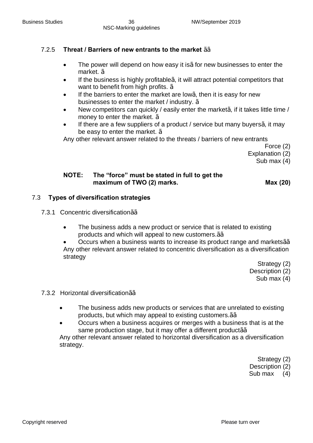### 7.2.5 **Threat / Barriers of new entrants to the market** √√

- The power will depend on how easy it is<sup>1</sup> for new businesses to enter the market. √
- If the business is highly profitable  $\frac{1}{2}$  it will attract potential competitors that want to benefit from high profits. <sup>1</sup>⁄2
- If the barriers to enter the market are low $\frac{1}{4}$  then it is easy for new businesses to enter the market / industry. √
- New competitors can quickly / easily enter the market $\frac{1}{2}$  if it takes little time / money to enter the market. ½
- If there are a few suppliers of a product / service but many buyers $\frac{1}{2}$  it may be easy to enter the market. √

Any other relevant answer related to the threats / barriers of new entrants

Force (2)

Explanation (2)

Sub max (4)

### **NOTE: The "force" must be stated in full to get the maximum of TWO (2) marks. Max (20)**

### 7.3 **Types of diversification strategies**

- 7.3.1 Concentric diversification1⁄<sub>2</sub>/<sub>2</sub>
	- The business adds a new product or service that is related to existing products and which will appeal to new customers.1⁄<sup>2</sup>⁄2

Occurs when a business wants to increase its product range and markets1⁄2⁄2 Any other relevant answer related to concentric diversification as a diversification strategy

Strategy (2)

Description (2)

Sub max (4)

7.3.2 Horizontal diversification√√

- · The business adds new products or services that are unrelated to existing products, but which may appeal to existing customers. 1⁄2⁄2
- · Occurs when a business acquires or merges with a business that is at the same production stage, but it may offer a different product1⁄<sup>2</sup>

Any other relevant answer related to horizontal diversification as a diversification strategy.

Strategy (2)

Description (2)

Sub max (4)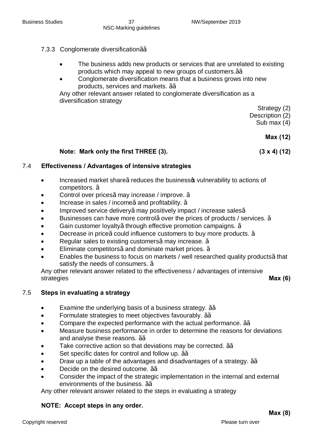### 7.3.3 Conglomerate diversification1⁄2⁄2

- The business adds new products or services that are unrelated to existing products which may appeal to new groups of customers.1⁄<sup>2</sup>⁄2
- · Conglomerate diversification means that a business grows into new products, services and markets. √√

Any other relevant answer related to conglomerate diversification as a diversification strategy

Strategy (2)

Description (2)

Sub max (4)

**Max (12)**

#### **Note: Mark only the first THREE (3). (3 x 4) (12)**

#### 7.4 **Effectiveness / Advantages of intensive strategies**

- Increased market share½ reduces the business wulnerability to actions of competitors. √
- Control over prices $\frac{1}{2}$  may increase / improve.  $\frac{1}{2}$
- Increase in sales / income $\frac{1}{2}$  and profitability.  $\frac{1}{2}$
- Improved service delivery½ may positively impact / increase sales <sup>1/2</sup>
- Businesses can have more control½ over the prices of products / services.  $\frac{1}{2}$
- Gain customer loyalty½ through effective promotion campaigns. 1⁄2
- Decrease in price½ could influence customers to buy more products. ½
- Regular sales to existing customers $\frac{1}{2}$  may increase.  $\frac{1}{2}$
- Eliminate competitors½ and dominate market prices. ½
- Enables the business to focus on markets / well researched quality products1/<sub>2</sub>that satisfy the needs of consumers. <sup>1/2</sup>

Any other relevant answer related to the effectiveness / advantages of intensive strategies **Max (6)**

#### 7.5 **Steps in evaluating a strategy**

- · Examine the underlying basis of a business strategy. √√
- · Formulate strategies to meet objectives favourably. √√
- Compare the expected performance with the actual performance. 1⁄<sub>2⁄2</sub>
- Measure business performance in order to determine the reasons for deviations and analyse these reasons. √√
- Take corrective action so that deviations may be corrected.  $\frac{1}{2}$
- Set specific dates for control and follow up. 1⁄2⁄2
- Draw up a table of the advantages and disadvantages of a strategy.  $\frac{1}{2}$
- Decide on the desired outcome. 1%
- Consider the impact of the strategic implementation in the internal and external environments of the business. 1⁄<sup>2</sup>⁄2

Any other relevant answer related to the steps in evaluating a strategy

#### **NOTE: Accept steps in any order.**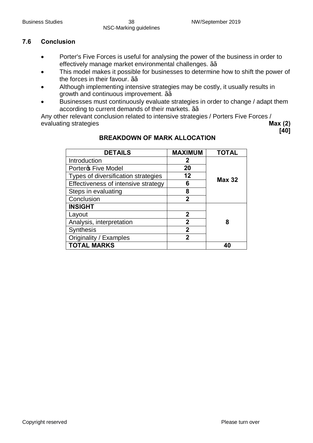**[40]**

### **7.6 Conclusion**

- Porter's Five Forces is useful for analysing the power of the business in order to effectively manage market environmental challenges. ¼∠
- This model makes it possible for businesses to determine how to shift the power of the forces in their favour. 1⁄<sup>3</sup>⁄2
- Although implementing intensive strategies may be costly, it usually results in growth and continuous improvement. 1⁄2⁄2
- Businesses must continuously evaluate strategies in order to change / adapt them according to current demands of their markets. 1⁄<sup>2</sup>⁄2

Any other relevant conclusion related to intensive strategies / Porters Five Forces / evaluating strategies **Max (2)**

| <b>DETAILS</b>                      | <b>MAXIMUM</b> | <b>TOTAL</b>  |
|-------------------------------------|----------------|---------------|
| Introduction                        | 2              |               |
| Porter <sub>®</sub> Five Model      | 20             |               |
| Types of diversification strategies | 12             | <b>Max 32</b> |
| Effectiveness of intensive strategy | 6              |               |
| Steps in evaluating                 | 8              |               |
| Conclusion                          | 2              |               |
| <b>INSIGHT</b>                      |                |               |
| Layout                              | 2              |               |
| Analysis, interpretation            | $\overline{2}$ | 8             |
| <b>Synthesis</b>                    | $\mathbf 2$    |               |
| Originality / Examples              | 2              |               |
| <b>TOTAL MARKS</b>                  |                |               |

### **BREAKDOWN OF MARK ALLOCATION**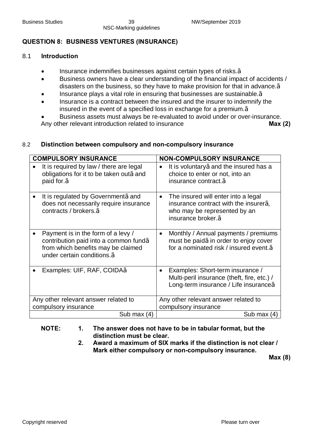### **QUESTION 8: BUSINESS VENTURES (INSURANCE)**

#### 8.1 **Introduction**

· Insurance indemnifies businesses against certain types of risks.√

NSC-Marking guidelines

- · Business owners have a clear understanding of the financial impact of accidents / disasters on the business, so they have to make provision for that in advance.√
- Insurance plays a vital role in ensuring that businesses are sustainable.1⁄2
- Insurance is a contract between the insured and the insurer to indemnify the insured in the event of a specified loss in exchange for a premium.√
- · Business assets must always be re-evaluated to avoid under or over-insurance. Any other relevant introduction related to insurance **Max** (2)

#### 8.2 **Distinction between compulsory and non-compulsory insurance**

| <b>COMPULSORY INSURANCE</b>                                                                                                                                                 | <b>NON-COMPULSORY INSURANCE</b>                                                                                                                              |
|-----------------------------------------------------------------------------------------------------------------------------------------------------------------------------|--------------------------------------------------------------------------------------------------------------------------------------------------------------|
| It is required by law / there are legal<br>obligations for it to be taken out1/2 and<br>paid for $\frac{1}{2}$                                                              | It is voluntary 1/2 and the insured has a<br>choice to enter or not, into an<br>insurance contract. <sup>1/2</sup>                                           |
| It is regulated by Government1/2 and<br>does not necessarily require insurance<br>contracts / brokers. <sup>1/2</sup>                                                       | The insured will enter into a legal<br>insurance contract with the insurer $\frac{1}{2}$<br>who may be represented by an<br>insurance broker. <sup>1/2</sup> |
| Payment is in the form of a levy /<br>contribution paid into a common fund <sup>1/2</sup><br>from which benefits may be claimed<br>under certain conditions. <sup>1/2</sup> | Monthly / Annual payments / premiums<br>$\bullet$<br>must be paid½in order to enjoy cover<br>for a nominated risk / insured event. <sup>1/2</sup>            |
| Examples: UIF, RAF, COIDA1/2                                                                                                                                                | Examples: Short-term insurance /<br>Multi-peril insurance (theft, fire, etc.) /<br>Long-term insurance / Life insurance <sup>1/2</sup>                       |
| Any other relevant answer related to                                                                                                                                        | Any other relevant answer related to                                                                                                                         |
| compulsory insurance                                                                                                                                                        | compulsory insurance                                                                                                                                         |
| Sub max $(4)$                                                                                                                                                               | Sub max (4)                                                                                                                                                  |

- **NOTE: 1. The answer does not have to be in tabular format, but the distinction must be clear.**
	- **2. Award a maximum of SIX marks if the distinction is not clear / Mark either compulsory or non-compulsory insurance.**

**Max (8)**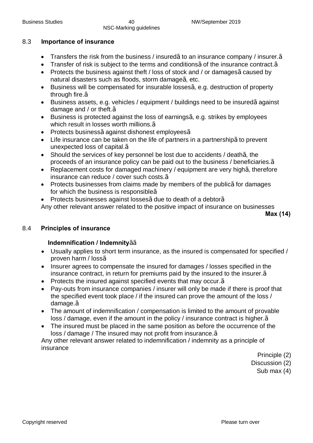#### 8.3 **Importance of insurance**

- Transfers the risk from the business / insured¼to an insurance company / insurer.1⁄2
- Transfer of risk is subject to the terms and conditions  $\frac{1}{2}$  of the insurance contract.  $\frac{1}{2}$
- Protects the business against theft / loss of stock and / or damages½ caused by natural disasters such as floods, storm damage $\frac{1}{2}$  etc.
- Business will be compensated for insurable losses¼ e.g. destruction of property through fire.√
- Business assets, e.g. vehicles / equipment / buildings need to be insured½ against damage and / or theft.√
- Business is protected against the loss of earnings $\frac{1}{2}$  e.g. strikes by employees which result in losses worth millions.<sup>1/2</sup>
- Protects business1⁄against dishonest employees1⁄2
- Life insurance can be taken on the life of partners in a partnership½ to prevent unexpected loss of capital.√
- Should the services of key personnel be lost due to accidents / death<sup>1/2</sup> the proceeds of an insurance policy can be paid out to the business / beneficiaries.√
- Replacement costs for damaged machinery / equipment are very high¼ therefore insurance can reduce / cover such costs.√
- Protects businesses from claims made by members of the public½ for damages for which the business is responsible√
- Protects businesses against losses¼ due to death of a debtor<sup>1</sup>/<sub>2</sub>

Any other relevant answer related to the positive impact of insurance on businesses

**Max (14)**

#### 8.4 **Principles of insurance**

#### **Indemnification / Indemnity**√√

- · Usually applies to short term insurance, as the insured is compensated for specified / proven harm / loss√
- · Insurer agrees to compensate the insured for damages / losses specified in the insurance contract, in return for premiums paid by the insured to the insurer.√
- · Protects the insured against specified events that may occur.√
- · Pay-outs from insurance companies / insurer will only be made if there is proof that the specified event took place / if the insured can prove the amount of the loss / damage.√
- · The amount of indemnification / compensation is limited to the amount of provable loss / damage, even if the amount in the policy / insurance contract is higher.√
- · The insured must be placed in the same position as before the occurrence of the loss / damage / The insured may not profit from insurance.√

Any other relevant answer related to indemnification / indemnity as a principle of insurance

Principle (2)

Discussion (2)

Sub max (4)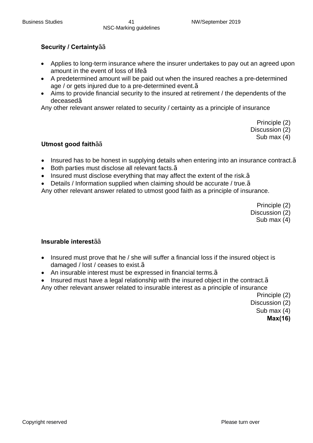### **Security / Certainty**√√

- Applies to long-term insurance where the insurer undertakes to pay out an agreed upon amount in the event of loss of life√
- · A predetermined amount will be paid out when the insured reaches a pre-determined age / or gets injured due to a pre-determined event.√
- Aims to provide financial security to the insured at retirement / the dependents of the deceased√

Any other relevant answer related to security / certainty as a principle of insurance

Principle (2) Discussion (2) Sub max (4)

#### **Utmost good faith**√√

- Insured has to be honest in supplying details when entering into an insurance contract. <del>1</del>/<sub>2</sub>
- Both parties must disclose all relevant facts.<sup>1/2</sup>
- · Insured must disclose everything that may affect the extent of the risk.√
- · Details / Information supplied when claiming should be accurate / true.√

Any other relevant answer related to utmost good faith as a principle of insurance.

Principle (2)

Discussion (2)

Sub max (4)

#### **Insurable interest**√√

- Insured must prove that he / she will suffer a financial loss if the insured object is damaged / lost / ceases to exist.<sup>1/2</sup>
- · An insurable interest must be expressed in financial terms.√
- Insured must have a legal relationship with the insured object in the contract. $\frac{1}{2}$
- Any other relevant answer related to insurable interest as a principle of insurance

Principle (2)

Discussion (2)

Sub max (4)

**Max(16)**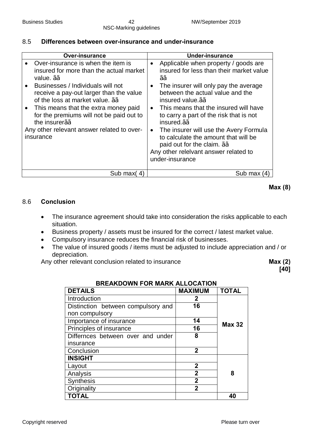### 8.5 **Differences between over-insurance and under-insurance**

| <b>Over-insurance</b>                                                                                                                                                                                                                                                                                                                                                                                                             | Under-insurance                                                                                                                                                                                                                                                                                                                                                                                                                                                                                                                                 |
|-----------------------------------------------------------------------------------------------------------------------------------------------------------------------------------------------------------------------------------------------------------------------------------------------------------------------------------------------------------------------------------------------------------------------------------|-------------------------------------------------------------------------------------------------------------------------------------------------------------------------------------------------------------------------------------------------------------------------------------------------------------------------------------------------------------------------------------------------------------------------------------------------------------------------------------------------------------------------------------------------|
| Over-insurance is when the item is<br>insured for more than the actual market<br>value. $\frac{1}{2}$<br>Businesses / Individuals will not<br>$\bullet$<br>receive a pay-out larger than the value<br>of the loss at market value. 1/2/2<br>This means that the extra money paid<br>$\bullet$<br>for the premiums will not be paid out to<br>the insurer $\frac{1}{2}$<br>Any other relevant answer related to over-<br>insurance | Applicable when property / goods are<br>insured for less than their market value<br>$\frac{1}{2}$<br>The insurer will only pay the average<br>between the actual value and the<br>insured value. $\frac{1}{2}$<br>This means that the insured will have<br>$\bullet$<br>to carry a part of the risk that is not<br>insured. <sup>12/2</sup><br>The insurer will use the Avery Formula<br>$\bullet$<br>to calculate the amount that will be<br>paid out for the claim. $\frac{1}{2}$<br>Any other releivant answer related to<br>under-insurance |
| Sub max(4)                                                                                                                                                                                                                                                                                                                                                                                                                        | Sub max (4)                                                                                                                                                                                                                                                                                                                                                                                                                                                                                                                                     |

**Max (8)**

### 8.6 **Conclusion**

- · The insurance agreement should take into consideration the risks applicable to each situation.
- · Business property / assets must be insured for the correct / latest market value.
- · Compulsory insurance reduces the financial risk of businesses.
- The value of insured goods / items must be adjusted to include appreciation and / or depreciation.

Any other relevant conclusion related to insurance **Max (2)** Max (2)

**[40]**

| <b>DETAILS</b>                     | <b>MAXIMUM</b> | <b>TOTAL</b>  |
|------------------------------------|----------------|---------------|
| Introduction                       | $\mathbf{2}$   |               |
| Distinction between compulsory and | 16             |               |
| non compulsory                     |                |               |
| Importance of insurance            | 14             | <b>Max 32</b> |
| Principles of insurance            | 16             |               |
| Differnces between over and under  | 8              |               |
| insurance                          |                |               |
| Conclusion                         | $\mathbf{2}$   |               |
| <b>INSIGHT</b>                     |                |               |
| Layout                             | $\mathbf 2$    |               |
| Analysis                           | $\overline{2}$ | 8             |
| Synthesis                          | $\overline{2}$ |               |
| Originality                        | $\overline{2}$ |               |
| <b>TOTAL</b>                       |                | 40            |

#### **BREAKDOWN FOR MARK ALLOCATION**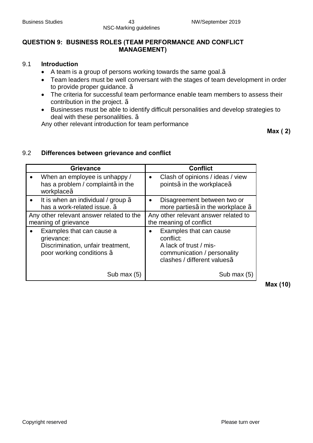### **QUESTION 9: BUSINESS ROLES (TEAM PERFORMANCE AND CONFLICT MANAGEMENT)**

#### 9.1 **Introduction**

- · A team is a group of persons working towards the same goal.√
- · Team leaders must be well conversant with the stages of team development in order to provide proper guidance. √
- · The criteria for successful team performance enable team members to assess their contribution in the project. √
- · Businesses must be able to identify difficult personalities and develop strategies to deal with these personalilties. √

Any other relevant introduction for team performance

**Max ( 2)**

#### 9.2 **Differences between grievance and conflict**

| <b>Grievance</b>                                                                                            | <b>Conflict</b>                                                                                                                            |
|-------------------------------------------------------------------------------------------------------------|--------------------------------------------------------------------------------------------------------------------------------------------|
| When an employee is unhappy /                                                                               | Clash of opinions / ideas / view                                                                                                           |
| has a problem / complaint1/2in the                                                                          | $\bullet$                                                                                                                                  |
| workplace <sup>1/2</sup>                                                                                    | points1/ <sub>2</sub> in the workplace1/ <sub>2</sub>                                                                                      |
| It is when an individual / group $\frac{1}{2}$                                                              | Disagreement between two or                                                                                                                |
| has a work-related issue. $\frac{1}{2}$                                                                     | more parties $\frac{1}{2}$ in the workplace $\frac{1}{2}$                                                                                  |
| Any other relevant answer related to the                                                                    | Any other relevant answer related to                                                                                                       |
| meaning of grievance                                                                                        | the meaning of conflict                                                                                                                    |
| Examples that can cause a<br>grievance:<br>Discrimination, unfair treatment,<br>poor working conditions 1/2 | Examples that can cause<br>conflict:<br>A lack of trust / mis-<br>communication / personality<br>clashes / different values <sup>1/2</sup> |
| Sub max (5)                                                                                                 | Sub max $(5)$                                                                                                                              |

**Max (10)**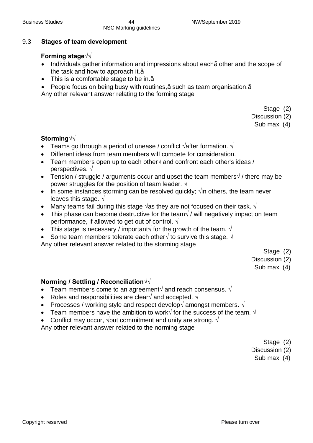### 9.3 **Stages of team development**

### **Forming stage√√**

- Individuals gather information and impressions about each½ other and the scope of the task and how to approach it. $\frac{1}{2}$
- This is a comfortable stage to be in.<sup>1/2</sup>
- · People focus on being busy with routines,√ such as team organisation.√
- Any other relevant answer relating to the forming stage

- Stage (2)
- Discussion (2)

Sub max (4)

### **Storming√√**

- · Teams go through a period of unease / conflict **√**after formation. **√**
- Different ideas from team members will compete for consideration.
- · Team members open up to each other**√** and confront each other's ideas / perspectives. **√**
- · Tension / struggle / arguments occur and upset the team members**√** / there may be power struggles for the position of team leader. **√**
- · In some instances storming can be resolved quickly; **√**in others, the team never leaves this stage. **√**
- · Many teams fail during this stage **√**as they are not focused on their task. **√**
- · This phase can become destructive for the team**√** / will negatively impact on team performance, if allowed to get out of control. **√**
- · This stage is necessary / important**√** for the growth of the team. **√**
- · Some team members tolerate each other**√** to survive this stage. **√**

Any other relevant answer related to the storming stage

- Stage (2)
- Discussion (2)

Sub max (4)

### **Norming / Settling / Reconciliation√√**

- · Team members come to an agreement**√** and reach consensus. **√**
- · Roles and responsibilities are clear**√** and accepted. **√**
- · Processes / working style and respect develop**√** amongst members. **√**
- · Team members have the ambition to work**√** for the success of the team. **√**
- · Conflict may occur, **√**but commitment and unity are strong. **√**

Any other relevant answer related to the norming stage

Stage (2)

Discussion (2)

Sub max (4)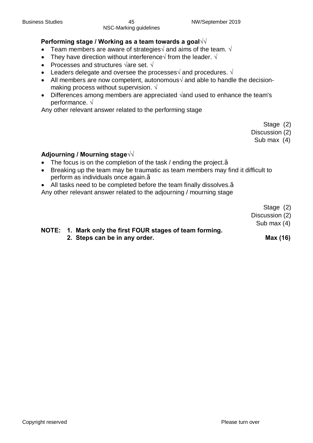### **Performing stage / Working as a team towards a goal√√**

- · Team members are aware of strategies**√** and aims of the team. **√**
- · They have direction without interference**√** from the leader. **√**
- · Processes and structures **√**are set. **√**
- · Leaders delegate and oversee the processes**√** and procedures. **√**
- · All members are now competent, autonomous**√** and able to handle the decisionmaking process without supervision. **√**
- · Differences among members are appreciated **√**and used to enhance the team's performance. **√**

Any other relevant answer related to the performing stage

Stage (2)

Discussion (2)

Sub max (4)

### **Adjourning / Mourning stage√√**

- The focus is on the completion of the task / ending the project.<sup>1/2</sup>
- Breaking up the team may be traumatic as team members may find it difficult to perform as individuals once again.<sup>1⁄2</sup>
- · All tasks need to be completed before the team finally dissolves.√

Any other relevant answer related to the adjourning / mourning stage

Stage (2)

Discussion (2)

Sub max (4)

**NOTE: 1. Mark only the first FOUR stages of team forming. 2. Steps can be in any order. Max (16)**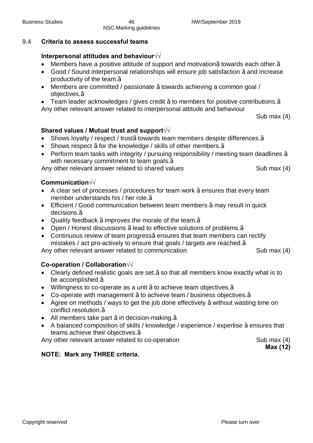### 9.4 **Criteria to assess successful teams**

### **Interpersonal attitudes and behaviour√√**

- Members have a positive attitude of support and motivation1⁄2 towards each other.<sup>1</sup>/<sub>2</sub>
- Good / Sound interpersonal relationships will ensure job satisfaction 1⁄2 and increase productivity of the team.√
- · Members are committed / passionate √ towards achieving a common goal / objectives.√
- · Team leader acknowledges / gives credit √ to members for positive contributions.√
- Any other relevant answer related to interpersonal attitude and behaviour

Sub max (4)

### **Shared values / Mutual trust and support√√**

- · Shows loyalty / respect / trust√ towards team members despite differences.√
- Shows respect 1/<sub>2</sub> for the knowledge / skills of other members.<sup>1/2</sup>
- · Perform team tasks with integrity / pursuing responsibility / meeting team deadlines √ with necessary commitment to team goals.<sup>1/2</sup>

Any other relevant answer related to shared values Sub max (4)

### **Communication√√**

- A clear set of processes / procedures for team work ½ ensures that every team member understands his / her role.√
- Efficient / Good communication between team members 1/2 may result in quick decisions.√
- Quality feedback  $\frac{1}{2}$  improves the morale of the team.  $\frac{1}{2}$
- Open / Honest discussions ½ lead to effective solutions of problems. <sup>1</sup>/<sub>2</sub>
- Continuous review of team progress½ ensures that team members can rectify mistakes / act pro-actively to ensure that goals / targets are reached.√

Any other relevant answer related to communication Sub max (4)

#### **Co-operation / Collaboration√√**

- · Clearly defined realistic goals are set,√ so that all members know exactly what is to be accomplished.√
- Willingness to co-operate as a unit  $\frac{1}{2}$  to achieve team objectives.  $\frac{1}{2}$
- · Co-operate with management √ to achieve team / business objectives.√
- Agree on methods / ways to get the job done effectively 1/<sub>2</sub> without wasting time on conflict resolution.√
- All members take part  $\frac{1}{2}$  in decision-making.  $\frac{1}{2}$
- · A balanced composition of skills / knowledge / experience / expertise √ ensures that teams achieve their objectives.<sup>1/2</sup>

Any other relevant answer related to co-operation Sub max (4)

**Max (12)**

### **NOTE: Mark any THREE criteria.**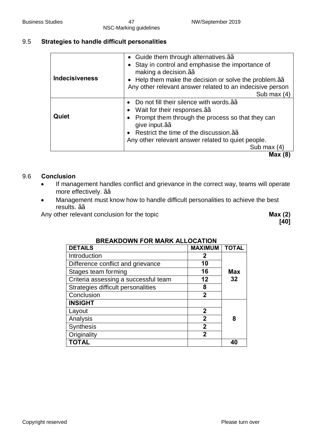### 9.5 **Strategies to handle difficult personalities**

| <b>Indecisiveness</b> | • Guide them through alternatives. 12/2<br>Stay in control and emphasise the importance of<br>making a decision. $\frac{1}{2}$<br>• Help them make the decision or solve the problem. $\frac{1}{2}$<br>Any other relevant answer related to an indecisive person<br>Sub max (4)    |
|-----------------------|------------------------------------------------------------------------------------------------------------------------------------------------------------------------------------------------------------------------------------------------------------------------------------|
| Quiet                 | Do not fill their silence with words. 1/2/2<br>Wait for their responses. 1/2/2<br>Prompt them through the process so that they can<br>give input. 1/2/2<br>Restrict the time of the discussion. $\frac{1}{2}$<br>Any other relevant answer related to quiet people.<br>Sub max (4) |
|                       | Max(8)                                                                                                                                                                                                                                                                             |

#### 9.6 **Conclusion**

- · If management handles conflict and grievance in the correct way, teams will operate more effectively. 1⁄2⁄2
- · Management must know how to handle difficult personalities to achieve the best results. √√

Any other relevant conclusion for the topic **Max (2) Max (2)** 

**[40]**

| BREANDOWN FOR MARN ALLOCATION        |                |              |  |
|--------------------------------------|----------------|--------------|--|
| <b>DETAILS</b>                       | <b>MAXIMUM</b> | <b>TOTAL</b> |  |
| Introduction                         | 2              |              |  |
| Difference conflict and grievance    | 10             |              |  |
| Stages team forming                  | 16             | <b>Max</b>   |  |
| Criteria assessing a successful team | 12             | 32           |  |
| Strategies difficult personalities   | 8              |              |  |
| Conclusion                           | $\mathbf 2$    |              |  |
| <b>INSIGHT</b>                       |                |              |  |
| Layout                               | $\mathbf{2}$   |              |  |
| Analysis                             | $\overline{2}$ | 8            |  |
| <b>Synthesis</b>                     | $\overline{2}$ |              |  |
| Originality                          | 2              |              |  |
| <b>TOTAL</b>                         |                |              |  |

### **BREAKDOWN FOR MARK ALLOCATION**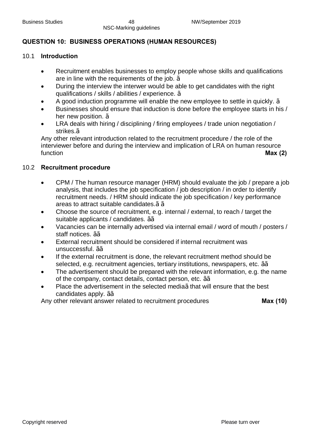### **QUESTION 10: BUSINESS OPERATIONS (HUMAN RESOURCES)**

#### 10.1 **Introduction**

- Recruitment enables businesses to employ people whose skills and qualifications are in line with the requirements of the job. √
- · During the interview the interwer would be able to get candidates with the right qualifications / skills / abilities / experience. √
- A good induction programme will enable the new employee to settle in quickly.  $\frac{1}{2}$
- · Businesses should ensure that induction is done before the employee starts in his / her new position. <sup>1/2</sup>
- LRA deals with hiring / disciplining / firing employees / trade union negotiation / strikes.√

Any other relevant introduction related to the recruitment procedure / the role of the interviewer before and during the interview and implication of LRA on human resource function **Max (2)**

#### 10.2 **Recruitment procedure**

- · CPM / The human resource manager (HRM) should evaluate the job / prepare a job analysis, that includes the job specification / job description / in order to identify recruitment needs. / HRM should indicate the job specification / key performance areas to attract suitable candidates.1/21/2
- · Choose the source of recruitment, e.g. internal / external, to reach / target the suitable applicants / candidates. ¼
- Vacancies can be internally advertised via internal email / word of mouth / posters / staff notices. √√
- External recruitment should be considered if internal recruitment was unsuccessful. √√
- · If the external recruitment is done, the relevant recruitment method should be selected, e.g. recruitment agencies, tertiary institutions, newspapers, etc. 1⁄<sup>2</sup>/<sub>2</sub>
- The advertisement should be prepared with the relevant information, e.g. the name of the company, contact details, contact person, etc.  $\frac{1}{2}$
- Place the advertisement in the selected media¼ that will ensure that the best candidates apply. √√

Any other relevant answer related to recruitment procedures **Max (10)**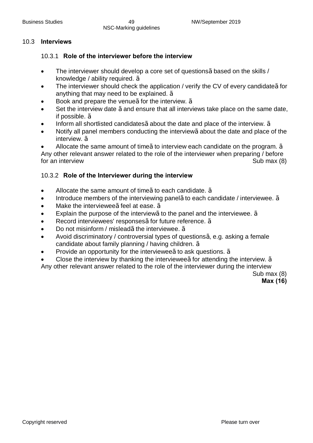#### 10.3 **Interviews**

#### 10.3.1 **Role of the interviewer before the interview**

- The interviewer should develop a core set of questions½ based on the skills / knowledge / ability required. 1/2
- The interviewer should check the application / verify the CV of every candidate1⁄2 for anything that may need to be explained. √
- Book and prepare the venue½ for the interview.  $\frac{1}{2}$
- Set the interview date ½ and ensure that all interviews take place on the same date, if possible. √
- Inform all shortlisted candidates $\frac{1}{2}$ about the date and place of the interview.  $\frac{1}{2}$
- Notify all panel members conducting the interview½ about the date and place of the interview. √
- Allocate the same amount of time½ to interview each candidate on the program.  $\frac{1}{2}$

Any other relevant answer related to the role of the interviewer when preparing / before for an interview Sub max (8)

#### 10.3.2 **Role of the Interviewer during the interview**

- Allocate the same amount of time½ to each candidate.  $\frac{1}{2}$
- Introduce members of the interviewing panel½ to each candidate / interviewee. ½
- Make the interviewee½ feel at ease.  $\frac{1}{2}$
- Explain the purpose of the interview½ to the panel and the interviewee.  $\frac{1}{2}$
- Record interviewees' responses½ for future reference. ½
- Do not misinform / mislead¼ the interviewee. ¼
- Avoid discriminatory / controversial types of questions $\frac{1}{2}$  e.g. asking a female candidate about family planning / having children. √
- Provide an opportunity for the interviewee $\frac{1}{2}$  to ask questions.  $\frac{1}{2}$
- Close the interview by thanking the interviewee½ for attending the interview.  $\frac{1}{2}$

Any other relevant answer related to the role of the interviewer during the interview

Sub max (8)

#### **Max (16)**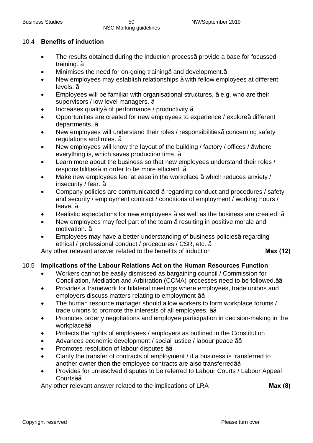### 10.4 **Benefits of induction**

- The results obtained during the induction process½ provide a base for focussed training. √
- Minimises the need for on-going training¼ and development.<sup>1</sup>⁄2
- New employees may establish relationships 1/2 with fellow employees at different levels. √
- Employees will be familiar with organisational structures,  $\frac{1}{2}$ e.g. who are their supervisors / low level managers. ½
- Increases quality½ of performance / productivity.1⁄2
- Opportunities are created for new employees to experience / explore½ different departments. √
- New employees will understand their roles / responsibilities½ concerning safety regulations and rules. √
- · New employees will know the layout of the building / factory / offices / √where everything is, which saves production time. √
- Learn more about the business so that new employees understand their roles / responsibilities½in order to be more efficient. ½
- Make new employees feel at ease in the workplace ½ which reduces anxiety / insecurity / fear. √
- Company policies are communicated  $\frac{1}{2}$ regarding conduct and procedures / safety and security / employment contract / conditions of employment / working hours / leave. √
- Realistic expectations for new employees  $\frac{1}{2}$  as well as the business are created.  $\frac{1}{2}$
- New employees may feel part of the team ½ resulting in positive morale and motivation. √
- Employees may have a better understanding of business policies1/<sub>2</sub> regarding ethical / professional conduct / procedures / CSR, etc. 1/2

Any other relevant answer related to the benefits of induction **Max (12)** 

### 10.5 **Implications of the Labour Relations Act on the Human Resources Function**

- · Workers cannot be easily dismissed as bargaining council / Commission for Conciliation, Mediation and Arbitration (CCMA) processes need to be followed.<sup>1⁄2</sup>⁄2
- Provides a framework for bilateral meetings where employees, trade unions and employers discuss matters relating to employment 1⁄2⁄2
- The human resource manager should allow workers to form workplace forums / trade unions to promote the interests of all employees.  $\frac{1}{2}$
- · Promotes orderly negotiations and employee participation in decision-making in the workplace1⁄<sub>2</sub>
- Protects the rights of employees / employers as outlined in the Constitution
- · Advances economic development / social justice / labour peace √√
- Promotes resolution of labour disputes 1⁄2⁄2
- Clarify the transfer of contracts of employment / if a business is transferred to another owner then the employee contracts are also transferred1⁄2⁄2
- · Provides for unresolved disputes to be referred to Labour Courts / Labour Appeal Courts√√

Any other relevant answer related to the implications of LRA **Max (8)**